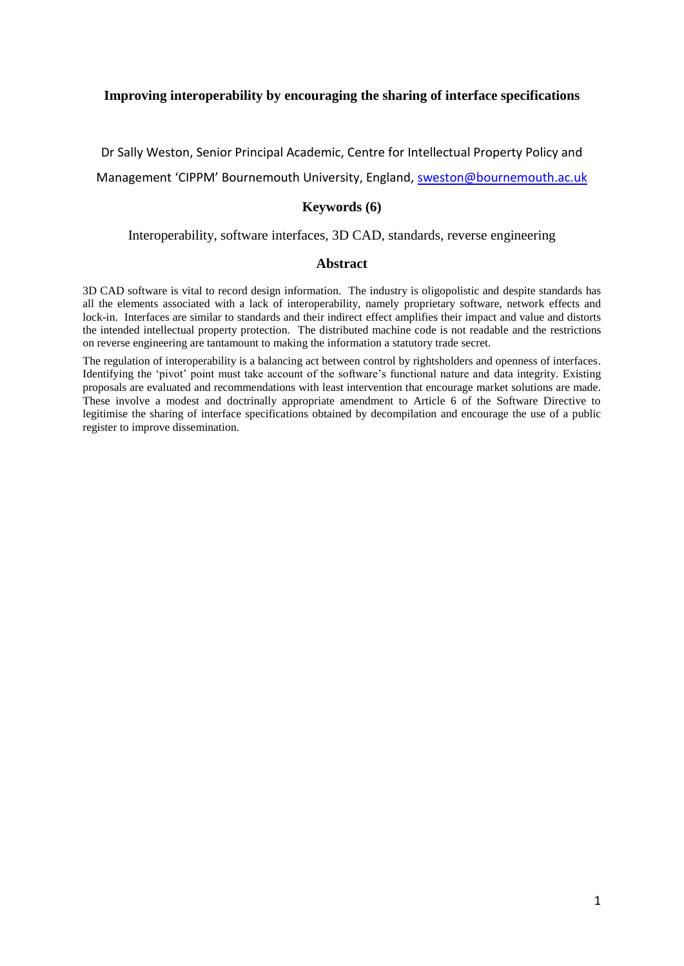#### **Improving interoperability by encouraging the sharing of interface specifications**

Dr Sally Weston, Senior Principal Academic, Centre for Intellectual Property Policy and

Management 'CIPPM' Bournemouth University, England, [sweston@bournemouth.ac.uk](mailto:sweston@bournemouth.ac.uk)

#### **Keywords (6)**

Interoperability, software interfaces, 3D CAD, standards, reverse engineering

#### **Abstract**

3D CAD software is vital to record design information. The industry is oligopolistic and despite standards has all the elements associated with a lack of interoperability, namely proprietary software, network effects and lock-in. Interfaces are similar to standards and their indirect effect amplifies their impact and value and distorts the intended intellectual property protection. The distributed machine code is not readable and the restrictions on reverse engineering are tantamount to making the information a statutory trade secret.

The regulation of interoperability is a balancing act between control by rightsholders and openness of interfaces. Identifying the 'pivot' point must take account of the software's functional nature and data integrity. Existing proposals are evaluated and recommendations with least intervention that encourage market solutions are made. These involve a modest and doctrinally appropriate amendment to Article 6 of the Software Directive to legitimise the sharing of interface specifications obtained by decompilation and encourage the use of a public register to improve dissemination.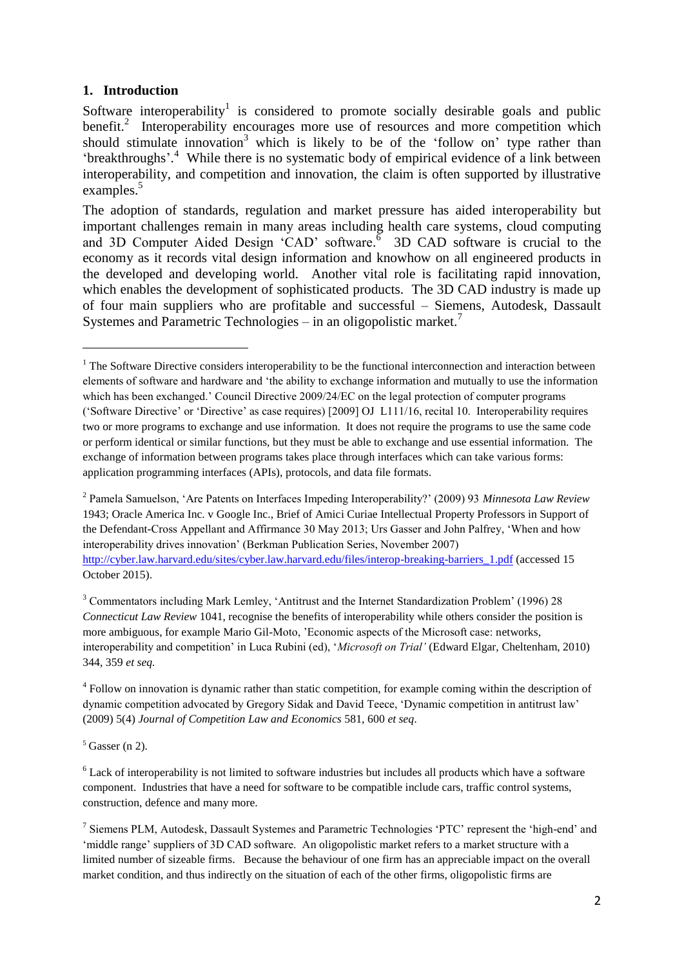## **1. Introduction**

-

<span id="page-1-0"></span>Software interoperability<sup>1</sup> is considered to promote socially desirable goals and public benefit.<sup>2</sup> Interoperability encourages more use of resources and more competition which should stimulate innovation<sup>3</sup> which is likely to be of the 'follow on' type rather than 'breakthroughs'. 4 While there is no systematic body of empirical evidence of a link between interoperability, and competition and innovation, the claim is often supported by illustrative examples.<sup>5</sup>

The adoption of standards, regulation and market pressure has aided interoperability but important challenges remain in many areas including health care systems, cloud computing and 3D Computer Aided Design 'CAD' software. 6 3D CAD software is crucial to the economy as it records vital design information and knowhow on all engineered products in the developed and developing world. Another vital role is facilitating rapid innovation, which enables the development of sophisticated products. The 3D CAD industry is made up of four main suppliers who are profitable and successful – Siemens, Autodesk, Dassault Systemes and Parametric Technologies – in an oligopolistic market.<sup>7</sup>

<sup>3</sup> Commentators including Mark Lemley, 'Antitrust and the Internet Standardization Problem' (1996) 28 *Connecticut Law Review* 1041, recognise the benefits of interoperability while others consider the position is more ambiguous, for example Mario Gil-Moto, 'Economic aspects of the Microsoft case: networks, interoperability and competition' in Luca Rubini (ed), '*Microsoft on Trial'* (Edward Elgar, Cheltenham, 2010) 344, 359 *et seq.*

<sup>4</sup> Follow on innovation is dynamic rather than static competition, for example coming within the description of dynamic competition advocated by Gregory Sidak and David Teece, 'Dynamic competition in antitrust law' (2009) 5(4) *Journal of Competition Law and Economics* 581, 600 *et seq*.

 $5$  Gasser (n [2\)](#page-1-0).

<sup>&</sup>lt;sup>1</sup> The Software Directive considers interoperability to be the functional interconnection and interaction between elements of software and hardware and 'the ability to exchange information and mutually to use the information which has been exchanged.' Council Directive 2009/24/EC on the legal protection of computer programs ('Software Directive' or 'Directive' as case requires) [2009] OJ L111/16, recital 10. Interoperability requires two or more programs to exchange and use information. It does not require the programs to use the same code or perform identical or similar functions, but they must be able to exchange and use essential information. The exchange of information between programs takes place through interfaces which can take various forms: application programming interfaces (APIs), protocols, and data file formats.

<sup>2</sup> Pamela Samuelson, 'Are Patents on Interfaces Impeding Interoperability?' (2009) 93 *Minnesota Law Review*  1943; Oracle America Inc. v Google Inc., Brief of Amici Curiae Intellectual Property Professors in Support of the Defendant-Cross Appellant and Affirmance 30 May 2013; Urs Gasser and John Palfrey, 'When and how interoperability drives innovation' (Berkman Publication Series, November 2007) [http://cyber.law.harvard.edu/sites/cyber.law.harvard.edu/files/interop-breaking-barriers\\_1.pdf](http://cyber.law.harvard.edu/sites/cyber.law.harvard.edu/files/interop-breaking-barriers_1.pdf) (accessed 15 October 2015).

<sup>6</sup> Lack of interoperability is not limited to software industries but includes all products which have a software component. Industries that have a need for software to be compatible include cars, traffic control systems, construction, defence and many more.

<sup>&</sup>lt;sup>7</sup> Siemens PLM, Autodesk, Dassault Systemes and Parametric Technologies 'PTC' represent the 'high-end' and 'middle range' suppliers of 3D CAD software. An oligopolistic market refers to a market structure with a limited number of sizeable firms. Because the behaviour of one firm has an appreciable impact on the overall market condition, and thus indirectly on the situation of each of the other firms, oligopolistic firms are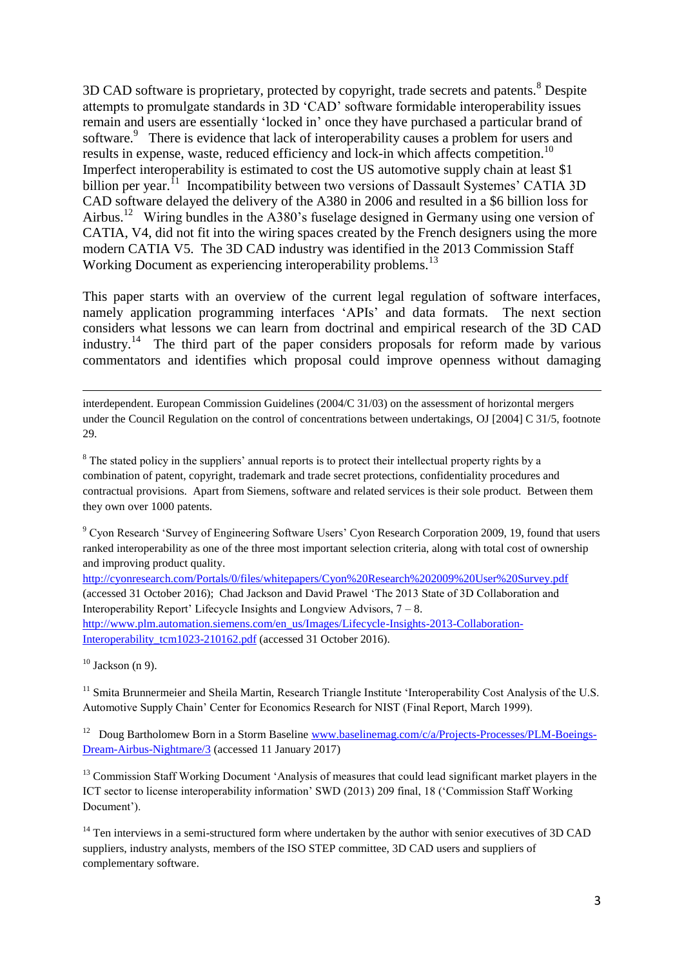<span id="page-2-2"></span><span id="page-2-0"></span>3D CAD software is proprietary, protected by copyright, trade secrets and patents.<sup>8</sup> Despite attempts to promulgate standards in 3D 'CAD' software formidable interoperability issues remain and users are essentially 'locked in' once they have purchased a particular brand of software.<sup>9</sup> There is evidence that lack of interoperability causes a problem for users and results in expense, waste, reduced efficiency and lock-in which affects competition.<sup>10</sup> Imperfect interoperability is estimated to cost the US automotive supply chain at least \$1 billion per year.<sup>11</sup> Incompatibility between two versions of Dassault Systemes' CATIA 3D CAD software delayed the delivery of the A380 in 2006 and resulted in a \$6 billion loss for Airbus.<sup>12</sup> Wiring bundles in the A380's fuselage designed in Germany using one version of CATIA, V4, did not fit into the wiring spaces created by the French designers using the more modern CATIA V5. The 3D CAD industry was identified in the 2013 Commission Staff Working Document as experiencing interoperability problems.<sup>13</sup>

<span id="page-2-3"></span>This paper starts with an overview of the current legal regulation of software interfaces, namely application programming interfaces 'APIs' and data formats. The next section considers what lessons we can learn from doctrinal and empirical research of the 3D CAD industry.<sup>14</sup> The third part of the paper considers proposals for reform made by various commentators and identifies which proposal could improve openness without damaging

interdependent. European Commission Guidelines (2004/C 31/03) on the assessment of horizontal mergers under the Council Regulation on the control of concentrations between undertakings, OJ [2004] C 31/5, footnote 29.

<sup>8</sup> The stated policy in the suppliers' annual reports is to protect their intellectual property rights by a combination of patent, copyright, trademark and trade secret protections, confidentiality procedures and contractual provisions. Apart from Siemens, software and related services is their sole product. Between them they own over 1000 patents.

<sup>9</sup> Cyon Research 'Survey of Engineering Software Users' Cyon Research Corporation 2009, 19, found that users ranked interoperability as one of the three most important selection criteria, along with total cost of ownership and improving product quality.

<http://cyonresearch.com/Portals/0/files/whitepapers/Cyon%20Research%202009%20User%20Survey.pdf> (accessed 31 October 2016); Chad Jackson and David Prawel 'The 2013 State of 3D Collaboration and Interoperability Report' Lifecycle Insights and Longview Advisors,  $7 - 8$ . [http://www.plm.automation.siemens.com/en\\_us/Images/Lifecycle-Insights-2013-Collaboration-](http://www.plm.automation.siemens.com/en_us/Images/Lifecycle-Insights-2013-Collaboration-Interoperability_tcm1023-210162.pdf)Interoperability tcm1023-210162.pdf (accessed 31 October 2016).

 $10$  Jackson (n [9\)](#page-2-0).

<span id="page-2-1"></span>-

 $11$  Smita Brunnermeier and Sheila Martin, Research Triangle Institute 'Interoperability Cost Analysis of the U.S. Automotive Supply Chain' Center for Economics Research for NIST (Final Report, March 1999).

<sup>12</sup> Doug Bartholomew Born in a Storm Baseline [www.baselinemag.com/c/a/Projects-Processes/PLM-Boeings-](http://www.baselinemag.com/c/a/Projects-Processes/PLM-Boeings-Dream-Airbus-Nightmare/3)[Dream-Airbus-Nightmare/3](http://www.baselinemag.com/c/a/Projects-Processes/PLM-Boeings-Dream-Airbus-Nightmare/3) (accessed 11 January 2017)

<sup>13</sup> Commission Staff Working Document 'Analysis of measures that could lead significant market players in the ICT sector to license interoperability information' SWD (2013) 209 final, 18 ('Commission Staff Working Document').

<sup>14</sup> Ten interviews in a semi-structured form where undertaken by the author with senior executives of 3D CAD suppliers, industry analysts, members of the ISO STEP committee, 3D CAD users and suppliers of complementary software.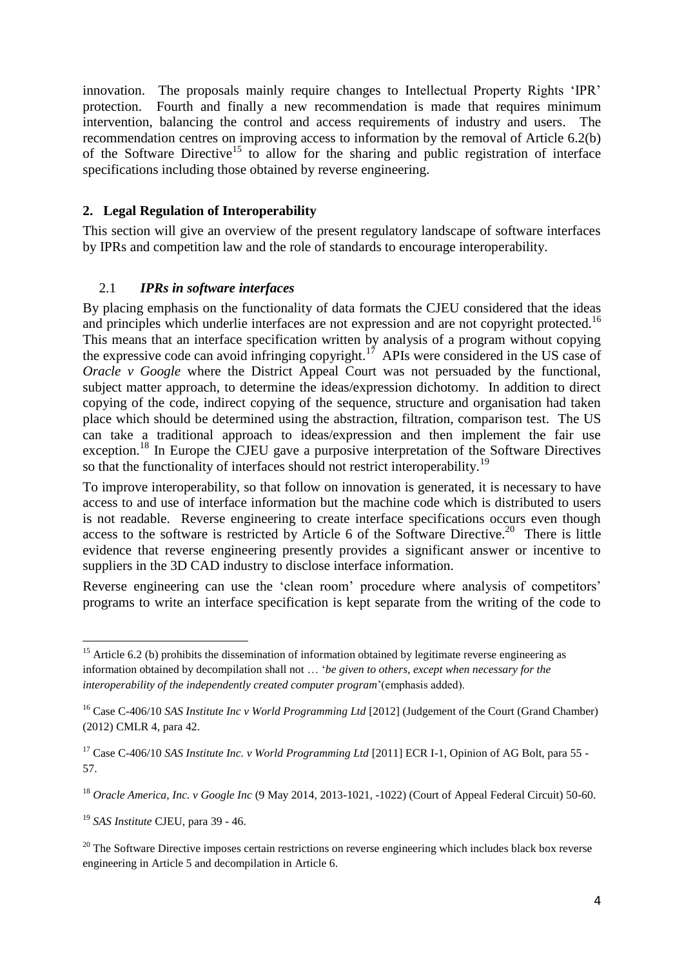innovation. The proposals mainly require changes to Intellectual Property Rights 'IPR' protection. Fourth and finally a new recommendation is made that requires minimum intervention, balancing the control and access requirements of industry and users. The recommendation centres on improving access to information by the removal of Article 6.2(b) of the Software Directive<sup>15</sup> to allow for the sharing and public registration of interface specifications including those obtained by reverse engineering.

## <span id="page-3-0"></span>**2. Legal Regulation of Interoperability**

This section will give an overview of the present regulatory landscape of software interfaces by IPRs and competition law and the role of standards to encourage interoperability.

## 2.1 *IPRs in software interfaces*

By placing emphasis on the functionality of data formats the CJEU considered that the ideas and principles which underlie interfaces are not expression and are not copyright protected.<sup>16</sup> This means that an interface specification written by analysis of a program without copying the expressive code can avoid infringing copyright.<sup>17</sup> APIs were considered in the US case of *Oracle v Google* where the District Appeal Court was not persuaded by the functional, subject matter approach, to determine the ideas/expression dichotomy. In addition to direct copying of the code, indirect copying of the sequence, structure and organisation had taken place which should be determined using the abstraction, filtration, comparison test. The US can take a traditional approach to ideas/expression and then implement the fair use exception.<sup>18</sup> In Europe the CJEU gave a purposive interpretation of the Software Directives so that the functionality of interfaces should not restrict interoperability.<sup>19</sup>

To improve interoperability, so that follow on innovation is generated, it is necessary to have access to and use of interface information but the machine code which is distributed to users is not readable. Reverse engineering to create interface specifications occurs even though access to the software is restricted by Article 6 of the Software Directive.<sup>20</sup> There is little evidence that reverse engineering presently provides a significant answer or incentive to suppliers in the 3D CAD industry to disclose interface information.

Reverse engineering can use the 'clean room' procedure where analysis of competitors' programs to write an interface specification is kept separate from the writing of the code to

<sup>&</sup>lt;sup>15</sup> Article 6.2 (b) prohibits the dissemination of information obtained by legitimate reverse engineering as information obtained by decompilation shall not … '*be given to others, except when necessary for the interoperability of the independently created computer program*'(emphasis added).

<sup>16</sup> Case C-406/10 *SAS Institute Inc v World Programming Ltd* [2012] (Judgement of the Court (Grand Chamber) (2012) CMLR 4, para 42.

<sup>&</sup>lt;sup>17</sup> Case C-406/10 *SAS Institute Inc. v World Programming Ltd* [2011] ECR I-1, Opinion of AG Bolt, para 55 -57.

<sup>18</sup> *Oracle America, Inc. v Google Inc* (9 May 2014, 2013-1021, -1022) (Court of Appeal Federal Circuit) 50-60.

<sup>19</sup> *SAS Institute* CJEU, para 39 - 46.

 $20$  The Software Directive imposes certain restrictions on reverse engineering which includes black box reverse engineering in Article 5 and decompilation in Article 6.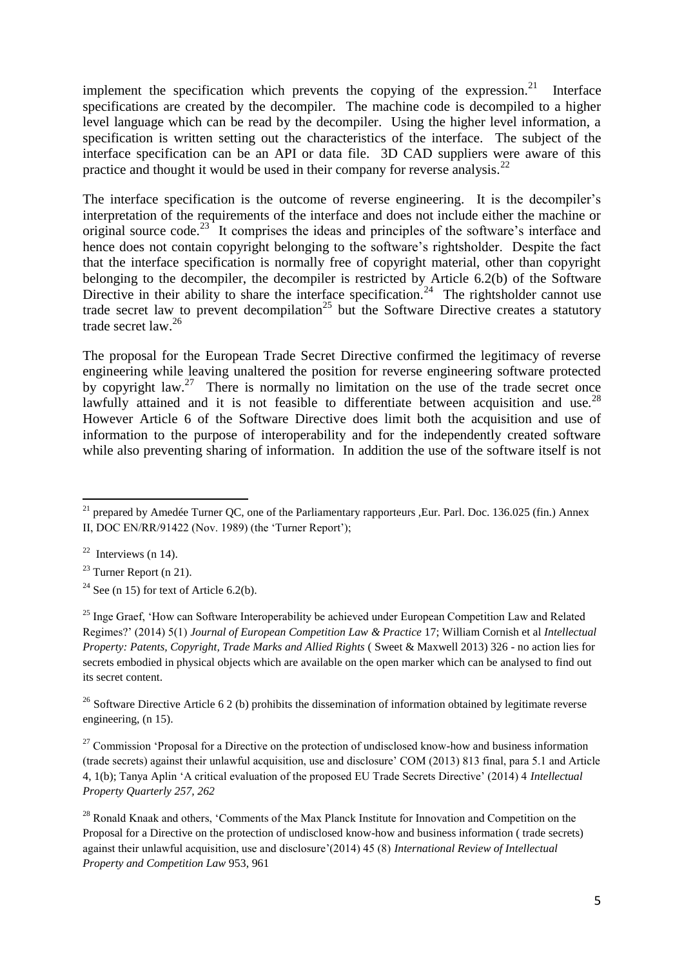<span id="page-4-0"></span>implement the specification which prevents the copying of the expression.<sup>21</sup> Interface specifications are created by the decompiler. The machine code is decompiled to a higher level language which can be read by the decompiler. Using the higher level information, a specification is written setting out the characteristics of the interface. The subject of the interface specification can be an API or data file. 3D CAD suppliers were aware of this practice and thought it would be used in their company for reverse analysis.<sup>22</sup>

The interface specification is the outcome of reverse engineering. It is the decompiler's interpretation of the requirements of the interface and does not include either the machine or original source code.<sup>23</sup> It comprises the ideas and principles of the software's interface and hence does not contain copyright belonging to the software's rightsholder. Despite the fact that the interface specification is normally free of copyright material, other than copyright belonging to the decompiler, the decompiler is restricted by Article 6.2(b) of the Software Directive in their ability to share the interface specification.<sup>24</sup> The rightsholder cannot use trade secret law to prevent decompilation<sup>25</sup> but the Software Directive creates a statutory trade secret law.<sup>26</sup>

<span id="page-4-1"></span>The proposal for the European Trade Secret Directive confirmed the legitimacy of reverse engineering while leaving unaltered the position for reverse engineering software protected by copyright law.<sup>27</sup> There is normally no limitation on the use of the trade secret once lawfully attained and it is not feasible to differentiate between acquisition and use.<sup>28</sup> However Article 6 of the Software Directive does limit both the acquisition and use of information to the purpose of interoperability and for the independently created software while also preventing sharing of information. In addition the use of the software itself is not

-

<sup>25</sup> Inge Graef, 'How can Software Interoperability be achieved under European Competition Law and Related Regimes?' (2014) 5(1) *Journal of European Competition Law & Practice* 17; William Cornish et al *Intellectual Property: Patents, Copyright, Trade Marks and Allied Rights* ( Sweet & Maxwell 2013) 326 - no action lies for secrets embodied in physical objects which are available on the open marker which can be analysed to find out its secret content.

<sup>26</sup> Software Directive Article 6 2 (b) prohibits the dissemination of information obtained by legitimate reverse engineering, (n [15\)](#page-3-0).

 $27$  Commission 'Proposal for a Directive on the protection of undisclosed know-how and business information (trade secrets) against their unlawful acquisition, use and disclosure' COM (2013) 813 final, para 5.1 and Article 4, 1(b); Tanya Aplin 'A critical evaluation of the proposed EU Trade Secrets Directive' (2014) 4 *Intellectual Property Quarterly 257, 262*

<sup>28</sup> Ronald Knaak and others, 'Comments of the Max Planck Institute for Innovation and Competition on the Proposal for a Directive on the protection of undisclosed know-how and business information ( trade secrets) against their unlawful acquisition, use and disclosure'(2014) 45 (8) *International Review of Intellectual Property and Competition Law* 953, 961

<sup>&</sup>lt;sup>21</sup> prepared by Amedée Turner QC, one of the Parliamentary rapporteurs , Eur. Parl. Doc. 136.025 (fin.) Annex II, DOC EN/RR/91422 (Nov. 1989) (the 'Turner Report');

 $22$  Interviews (n [14\)](#page-2-1).

 $23$  Turner Report (n [21\)](#page-4-0).

<sup>&</sup>lt;sup>24</sup> See (n [15\)](#page-3-0) for text of Article 6.2(b).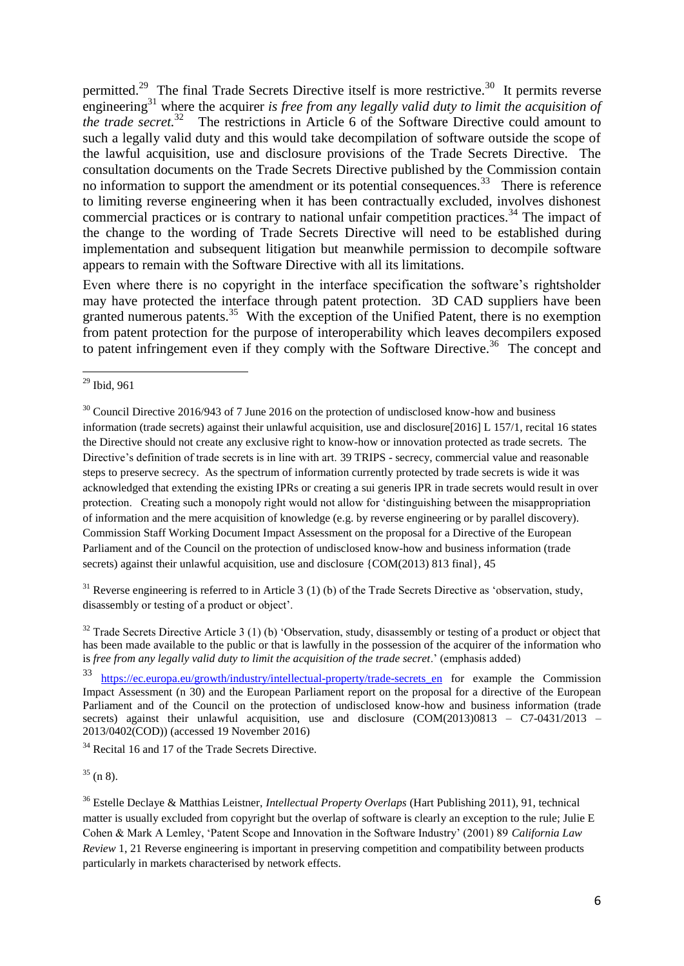<span id="page-5-0"></span>permitted.<sup>29</sup> The final Trade Secrets Directive itself is more restrictive.<sup>30</sup> It permits reverse engineering<sup>31</sup> where the acquirer *is free from any legally valid duty to limit the acquisition of the trade secret.*<sup>32</sup> The restrictions in Article 6 of the Software Directive could amount to such a legally valid duty and this would take decompilation of software outside the scope of the lawful acquisition, use and disclosure provisions of the Trade Secrets Directive. The consultation documents on the Trade Secrets Directive published by the Commission contain no information to support the amendment or its potential consequences.<sup>33</sup> There is reference to limiting reverse engineering when it has been contractually excluded, involves dishonest commercial practices or is contrary to national unfair competition practices.<sup>34</sup> The impact of the change to the wording of Trade Secrets Directive will need to be established during implementation and subsequent litigation but meanwhile permission to decompile software appears to remain with the Software Directive with all its limitations.

Even where there is no copyright in the interface specification the software's rightsholder may have protected the interface through patent protection. 3D CAD suppliers have been granted numerous patents.<sup>35</sup> With the exception of the Unified Patent, there is no exemption from patent protection for the purpose of interoperability which leaves decompilers exposed to patent infringement even if they comply with the Software Directive.<sup>36</sup> The concept and

 $31$  Reverse engineering is referred to in Article 3 (1) (b) of the Trade Secrets Directive as 'observation, study, disassembly or testing of a product or object'.

<sup>32</sup> Trade Secrets Directive Article 3 (1) (b) 'Observation, study, disassembly or testing of a product or object that has been made available to the public or that is lawfully in the possession of the acquirer of the information who is *free from any legally valid duty to limit the acquisition of the trade secret*.' (emphasis added)

<sup>34</sup> Recital 16 and 17 of the Trade Secrets Directive.

 $35$  (n [8\)](#page-2-2).

<span id="page-5-1"></span><sup>-</sup> $29$  Ibid, 961

 $30$  Council Directive 2016/943 of 7 June 2016 on the protection of undisclosed know-how and business information (trade secrets) against their unlawful acquisition, use and disclosure[2016] L 157/1, recital 16 states the Directive should not create any exclusive right to know-how or innovation protected as trade secrets. The Directive's definition of trade secrets is in line with art. 39 TRIPS - secrecy, commercial value and reasonable steps to preserve secrecy. As the spectrum of information currently protected by trade secrets is wide it was acknowledged that extending the existing IPRs or creating a sui generis IPR in trade secrets would result in over protection. Creating such a monopoly right would not allow for 'distinguishing between the misappropriation of information and the mere acquisition of knowledge (e.g. by reverse engineering or by parallel discovery). Commission Staff Working Document Impact Assessment on the proposal for a Directive of the European Parliament and of the Council on the protection of undisclosed know-how and business information (trade secrets) against their unlawful acquisition, use and disclosure {COM(2013) 813 final}, 45

<sup>33</sup> [https://ec.europa.eu/growth/industry/intellectual-property/trade-secrets\\_en](https://ec.europa.eu/growth/industry/intellectual-property/trade-secrets_en) for example the Commission Impact Assessment (n [30\)](#page-5-0) and the European Parliament report on the proposal for a directive of the European Parliament and of the Council on the protection of undisclosed know-how and business information (trade secrets) against their unlawful acquisition, use and disclosure (COM(2013)0813 – C7-0431/2013 – 2013/0402(COD)) (accessed 19 November 2016)

<sup>36</sup> Estelle Declaye & Matthias Leistner, *Intellectual Property Overlaps* (Hart Publishing 2011), 91, technical matter is usually excluded from copyright but the overlap of software is clearly an exception to the rule; Julie E Cohen & Mark A Lemley, 'Patent Scope and Innovation in the Software Industry' (2001) 89 *California Law Review* 1, 21 Reverse engineering is important in preserving competition and compatibility between products particularly in markets characterised by network effects.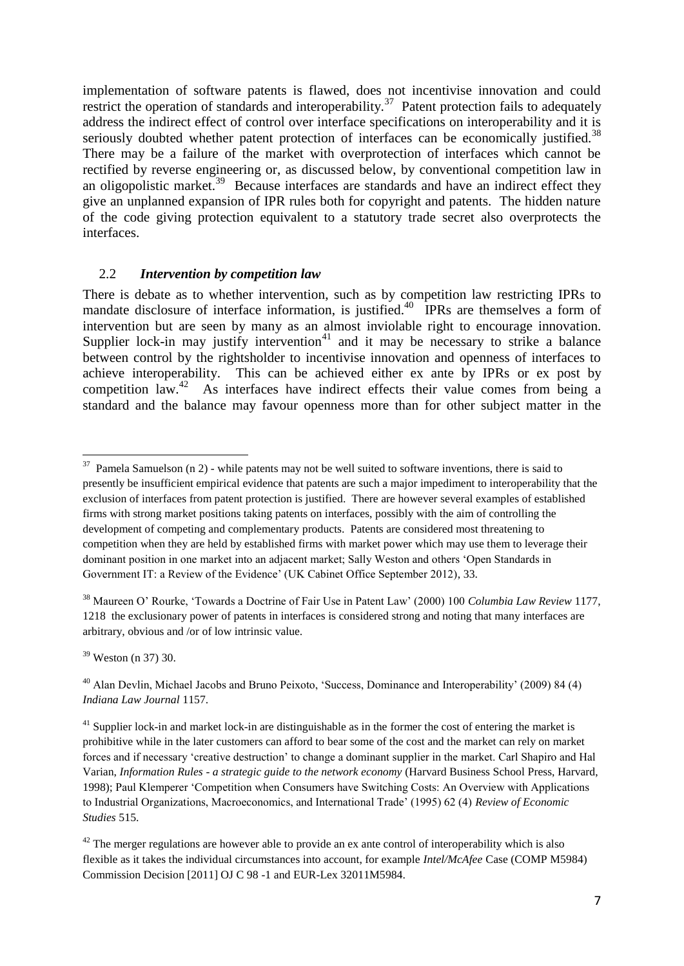<span id="page-6-0"></span>implementation of software patents is flawed, does not incentivise innovation and could restrict the operation of standards and interoperability.<sup>37</sup> Patent protection fails to adequately address the indirect effect of control over interface specifications on interoperability and it is seriously doubted whether patent protection of interfaces can be economically justified.<sup>38</sup> There may be a failure of the market with overprotection of interfaces which cannot be rectified by reverse engineering or, as discussed below, by conventional competition law in an oligopolistic market.<sup>39</sup> Because interfaces are standards and have an indirect effect they give an unplanned expansion of IPR rules both for copyright and patents. The hidden nature of the code giving protection equivalent to a statutory trade secret also overprotects the interfaces.

#### 2.2 *Intervention by competition law*

There is debate as to whether intervention, such as by competition law restricting IPRs to mandate disclosure of interface information, is justified.<sup>40</sup> IPRs are themselves a form of intervention but are seen by many as an almost inviolable right to encourage innovation. Supplier lock-in may justify intervention<sup>41</sup> and it may be necessary to strike a balance between control by the rightsholder to incentivise innovation and openness of interfaces to achieve interoperability. This can be achieved either ex ante by IPRs or ex post by competition law.<sup>42</sup> As interfaces have indirect effects their value comes from being a standard and the balance may favour openness more than for other subject matter in the

<sup>39</sup> Weston (n [37\)](#page-6-0) 30.

<sup>-</sup> $37$  Pamela Samuelson ([n 2\)](#page-1-0) - while patents may not be well suited to software inventions, there is said to presently be insufficient empirical evidence that patents are such a major impediment to interoperability that the exclusion of interfaces from patent protection is justified. There are however several examples of established firms with strong market positions taking patents on interfaces, possibly with the aim of controlling the development of competing and complementary products. Patents are considered most threatening to competition when they are held by established firms with market power which may use them to leverage their dominant position in one market into an adjacent market; Sally Weston and others 'Open Standards in Government IT: a Review of the Evidence' (UK Cabinet Office September 2012), 33.

<sup>38</sup> Maureen O' Rourke, 'Towards a Doctrine of Fair Use in Patent Law' (2000) 100 *Columbia Law Review* 1177, 1218 the exclusionary power of patents in interfaces is considered strong and noting that many interfaces are arbitrary, obvious and /or of low intrinsic value.

<sup>&</sup>lt;sup>40</sup> Alan Devlin, Michael Jacobs and Bruno Peixoto, 'Success, Dominance and Interoperability' (2009) 84 (4) *Indiana Law Journal* 1157.

 $41$  Supplier lock-in and market lock-in are distinguishable as in the former the cost of entering the market is prohibitive while in the later customers can afford to bear some of the cost and the market can rely on market forces and if necessary 'creative destruction' to change a dominant supplier in the market. Carl Shapiro and Hal Varian, *Information Rules - a strategic guide to the network economy* (Harvard Business School Press, Harvard, 1998); Paul Klemperer 'Competition when Consumers have Switching Costs: An Overview with Applications to Industrial Organizations, Macroeconomics, and International Trade' (1995) 62 (4) *Review of Economic Studies* 515.

 $42$  The merger regulations are however able to provide an ex ante control of interoperability which is also flexible as it takes the individual circumstances into account, for example *Intel/McAfee* Case (COMP M5984) Commission Decision [2011] OJ C 98 -1 and EUR-Lex 32011M5984.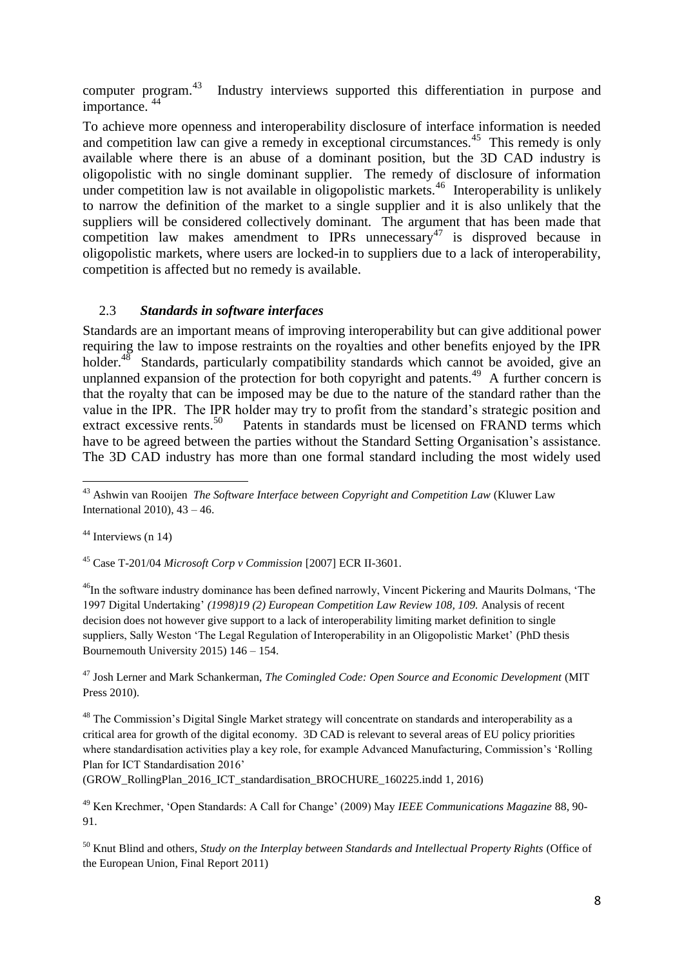<span id="page-7-0"></span>computer program.<sup>43</sup> Industry interviews supported this differentiation in purpose and importance.<sup>44</sup>

To achieve more openness and interoperability disclosure of interface information is needed and competition law can give a remedy in exceptional circumstances.<sup>45</sup> This remedy is only available where there is an abuse of a dominant position, but the 3D CAD industry is oligopolistic with no single dominant supplier. The remedy of disclosure of information under competition law is not available in oligopolistic markets.<sup>46</sup> Interoperability is unlikely to narrow the definition of the market to a single supplier and it is also unlikely that the suppliers will be considered collectively dominant. The argument that has been made that competition law makes amendment to IPRs unnecessary<sup>47</sup> is disproved because in oligopolistic markets, where users are locked-in to suppliers due to a lack of interoperability, competition is affected but no remedy is available.

## 2.3 *Standards in software interfaces*

<span id="page-7-1"></span>Standards are an important means of improving interoperability but can give additional power requiring the law to impose restraints on the royalties and other benefits enjoyed by the IPR holder.<sup>48</sup> Standards, particularly compatibility standards which cannot be avoided, give an unplanned expansion of the protection for both copyright and patents.<sup>49</sup> A further concern is that the royalty that can be imposed may be due to the nature of the standard rather than the value in the IPR. The IPR holder may try to profit from the standard's strategic position and extract excessive rents.<sup>50</sup> Patents in standards must be licensed on FRAND terms which have to be agreed between the parties without the Standard Setting Organisation's assistance. The 3D CAD industry has more than one formal standard including the most widely used

<sup>45</sup> Case T-201/04 *Microsoft Corp v Commission* [2007] ECR II-3601.

<sup>46</sup>In the software industry dominance has been defined narrowly. Vincent Pickering and Maurits Dolmans, 'The 1997 Digital Undertaking' *(1998)19 (2) European Competition Law Review 108, 109.* Analysis of recent decision does not however give support to a lack of interoperability limiting market definition to single suppliers, Sally Weston 'The Legal Regulation of Interoperability in an Oligopolistic Market' (PhD thesis Bournemouth University 2015) 146 – 154.

<sup>47</sup> Josh Lerner and Mark Schankerman, *The Comingled Code: Open Source and Economic Development* (MIT Press 2010).

<sup>48</sup> The Commission's Digital Single Market strategy will concentrate on standards and interoperability as a critical area for growth of the digital economy. 3D CAD is relevant to several areas of EU policy priorities where standardisation activities play a key role, for example Advanced Manufacturing, Commission's 'Rolling Plan for ICT Standardisation 2016'

(GROW\_RollingPlan\_2016\_ICT\_standardisation\_BROCHURE\_160225.indd 1, 2016)

<sup>49</sup> Ken Krechmer, 'Open Standards: A Call for Change' (2009) May *IEEE Communications Magazine* 88, 90- 91.

<sup>50</sup> Knut Blind and others, *Study on the Interplay between Standards and Intellectual Property Rights* (Office of the European Union, Final Report 2011)

<span id="page-7-2"></span><sup>-</sup><sup>43</sup> Ashwin van Rooijen *The Software Interface between Copyright and Competition Law* (Kluwer Law International 2010),  $43 - 46$ .

 $44$  Interviews (n [14\)](#page-2-1)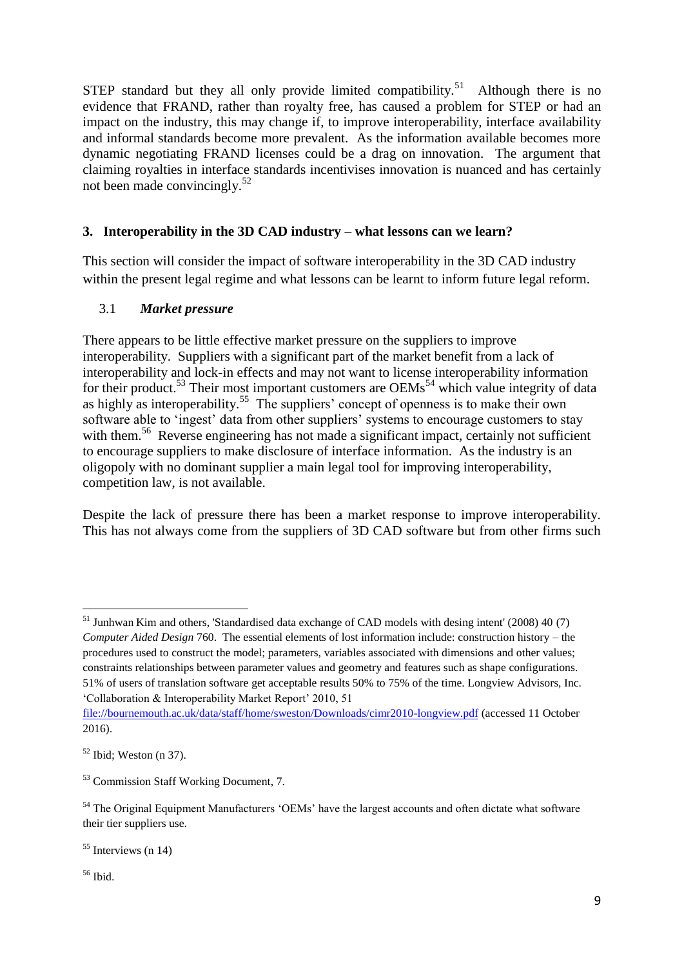<span id="page-8-0"></span>STEP standard but they all only provide limited compatibility.<sup>51</sup> Although there is no evidence that FRAND, rather than royalty free, has caused a problem for STEP or had an impact on the industry, this may change if, to improve interoperability, interface availability and informal standards become more prevalent. As the information available becomes more dynamic negotiating FRAND licenses could be a drag on innovation. The argument that claiming royalties in interface standards incentivises innovation is nuanced and has certainly not been made convincingly.<sup>52</sup>

# **3. Interoperability in the 3D CAD industry – what lessons can we learn?**

This section will consider the impact of software interoperability in the 3D CAD industry within the present legal regime and what lessons can be learnt to inform future legal reform.

# 3.1 *Market pressure*

There appears to be little effective market pressure on the suppliers to improve interoperability. Suppliers with a significant part of the market benefit from a lack of interoperability and lock-in effects and may not want to license interoperability information for their product.<sup>53</sup> Their most important customers are  $OEMs<sup>54</sup>$  which value integrity of data as highly as interoperability.<sup>55</sup> The suppliers' concept of openness is to make their own software able to 'ingest' data from other suppliers' systems to encourage customers to stay with them.<sup>56</sup> Reverse engineering has not made a significant impact, certainly not sufficient to encourage suppliers to make disclosure of interface information. As the industry is an oligopoly with no dominant supplier a main legal tool for improving interoperability, competition law, is not available.

Despite the lack of pressure there has been a market response to improve interoperability. This has not always come from the suppliers of 3D CAD software but from other firms such

 $56$  Ibid.

<sup>-</sup> $51$  Junhwan Kim and others, 'Standardised data exchange of CAD models with desing intent' (2008) 40 (7) *Computer Aided Design* 760. The essential elements of lost information include: construction history – the procedures used to construct the model; parameters, variables associated with dimensions and other values; constraints relationships between parameter values and geometry and features such as shape configurations. 51% of users of translation software get acceptable results 50% to 75% of the time. Longview Advisors, Inc. 'Collaboration & Interoperability Market Report' 2010, 51

<file://bournemouth.ac.uk/data/staff/home/sweston/Downloads/cimr2010-longview.pdf> (accessed 11 October 2016).

 $52$  Ibid: Weston (n [37\)](#page-6-0).

<sup>53</sup> Commission Staff Working Document, 7.

<sup>&</sup>lt;sup>54</sup> The Original Equipment Manufacturers 'OEMs' have the largest accounts and often dictate what software their tier suppliers use.

 $55$  Interviews (n [14\)](#page-2-1)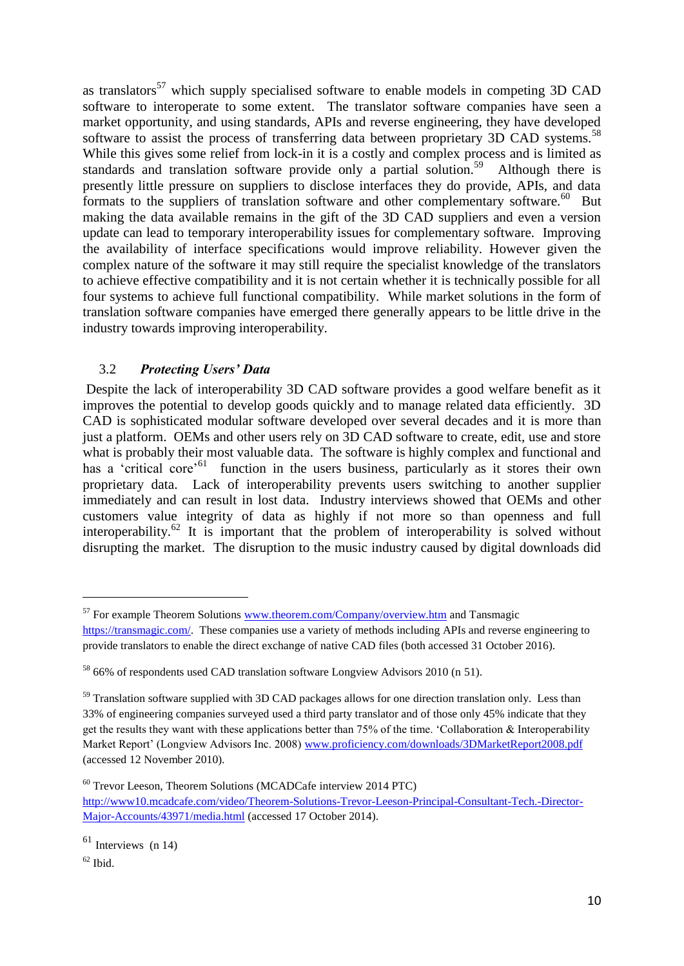as translators<sup>57</sup> which supply specialised software to enable models in competing 3D CAD software to interoperate to some extent. The translator software companies have seen a market opportunity, and using standards, APIs and reverse engineering, they have developed software to assist the process of transferring data between proprietary 3D CAD systems.<sup>58</sup> While this gives some relief from lock-in it is a costly and complex process and is limited as standards and translation software provide only a partial solution.<sup>59</sup> Although there is presently little pressure on suppliers to disclose interfaces they do provide, APIs, and data formats to the suppliers of translation software and other complementary software.<sup>60</sup> But making the data available remains in the gift of the 3D CAD suppliers and even a version update can lead to temporary interoperability issues for complementary software. Improving the availability of interface specifications would improve reliability. However given the complex nature of the software it may still require the specialist knowledge of the translators to achieve effective compatibility and it is not certain whether it is technically possible for all four systems to achieve full functional compatibility. While market solutions in the form of translation software companies have emerged there generally appears to be little drive in the industry towards improving interoperability.

# 3.2 *Protecting Users' Data*

Despite the lack of interoperability 3D CAD software provides a good welfare benefit as it improves the potential to develop goods quickly and to manage related data efficiently. 3D CAD is sophisticated modular software developed over several decades and it is more than just a platform. OEMs and other users rely on 3D CAD software to create, edit, use and store what is probably their most valuable data. The software is highly complex and functional and has a 'critical core'<sup>61</sup> function in the users business, particularly as it stores their own proprietary data. Lack of interoperability prevents users switching to another supplier immediately and can result in lost data. Industry interviews showed that OEMs and other customers value integrity of data as highly if not more so than openness and full interoperability.<sup>62</sup> It is important that the problem of interoperability is solved without disrupting the market. The disruption to the music industry caused by digital downloads did

 $57$  For example Theorem Solutions [www.theorem.com/Company/overview.htm](http://www.theorem.com/Company/overview.htm) and Tansmagic

[https://transmagic.com/.](https://transmagic.com/) These companies use a variety of methods including APIs and reverse engineering to provide translators to enable the direct exchange of native CAD files (both accessed 31 October 2016).

<sup>58</sup> 66% of respondents used CAD translation software Longview Advisors 2010 (n [51\)](#page-8-0).

<sup>&</sup>lt;sup>59</sup> Translation software supplied with 3D CAD packages allows for one direction translation only. Less than 33% of engineering companies surveyed used a third party translator and of those only 45% indicate that they get the results they want with these applications better than 75% of the time. 'Collaboration & Interoperability Market Report' (Longview Advisors Inc. 2008) [www.proficiency.com/downloads/3DMarketReport2008.pdf](http://www.proficiency.com/downloads/3DMarketReport2008.pdf) (accessed 12 November 2010).

 $60$  Trevor Leeson, Theorem Solutions (MCADCafe interview 2014 PTC) [http://www10.mcadcafe.com/video/Theorem-Solutions-Trevor-Leeson-Principal-Consultant-Tech.-Director-](http://www10.mcadcafe.com/video/Theorem-Solutions-Trevor-Leeson-Principal-Consultant-Tech.-Director-Major-Accounts/43971/media.html)[Major-Accounts/43971/media.html](http://www10.mcadcafe.com/video/Theorem-Solutions-Trevor-Leeson-Principal-Consultant-Tech.-Director-Major-Accounts/43971/media.html) (accessed 17 October 2014).

 $61$  Interviews (n [14\)](#page-2-1)

 $62$  Ibid.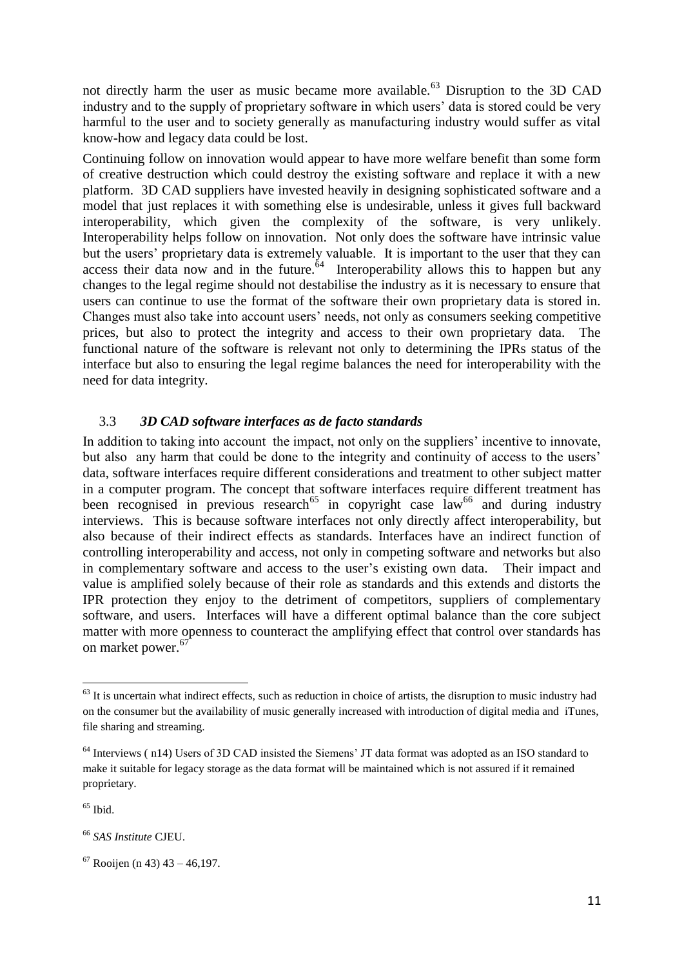not directly harm the user as music became more available.<sup>63</sup> Disruption to the 3D CAD industry and to the supply of proprietary software in which users' data is stored could be very harmful to the user and to society generally as manufacturing industry would suffer as vital know-how and legacy data could be lost.

Continuing follow on innovation would appear to have more welfare benefit than some form of creative destruction which could destroy the existing software and replace it with a new platform. 3D CAD suppliers have invested heavily in designing sophisticated software and a model that just replaces it with something else is undesirable, unless it gives full backward interoperability, which given the complexity of the software, is very unlikely. Interoperability helps follow on innovation. Not only does the software have intrinsic value but the users' proprietary data is extremely valuable. It is important to the user that they can access their data now and in the future.<sup> $64$ </sup> Interoperability allows this to happen but any changes to the legal regime should not destabilise the industry as it is necessary to ensure that users can continue to use the format of the software their own proprietary data is stored in. Changes must also take into account users' needs, not only as consumers seeking competitive prices, but also to protect the integrity and access to their own proprietary data. The functional nature of the software is relevant not only to determining the IPRs status of the interface but also to ensuring the legal regime balances the need for interoperability with the need for data integrity.

## <span id="page-10-0"></span>3.3 *3D CAD software interfaces as de facto standards*

In addition to taking into account the impact, not only on the suppliers' incentive to innovate, but also any harm that could be done to the integrity and continuity of access to the users' data, software interfaces require different considerations and treatment to other subject matter in a computer program. The concept that software interfaces require different treatment has been recognised in previous research<sup>65</sup> in copyright case law<sup>66</sup> and during industry interviews. This is because software interfaces not only directly affect interoperability, but also because of their indirect effects as standards. Interfaces have an indirect function of controlling interoperability and access, not only in competing software and networks but also in complementary software and access to the user's existing own data. Their impact and value is amplified solely because of their role as standards and this extends and distorts the IPR protection they enjoy to the detriment of competitors, suppliers of complementary software, and users. Interfaces will have a different optimal balance than the core subject matter with more openness to counteract the amplifying effect that control over standards has on market power.<sup>67</sup>

 $63$  It is uncertain what indirect effects, such as reduction in choice of artists, the disruption to music industry had on the consumer but the availability of music generally increased with introduction of digital media and iTunes, file sharing and streaming.

<sup>&</sup>lt;sup>64</sup> Interviews ( [n14\)](#page-2-1) Users of 3D CAD insisted the Siemens' JT data format was adopted as an ISO standard to make it suitable for legacy storage as the data format will be maintained which is not assured if it remained proprietary.

 $65$  Ibid.

<sup>66</sup> *SAS Institute* CJEU.

 $67$  Rooijen (n [43\)](#page-7-0) 43 – 46,197.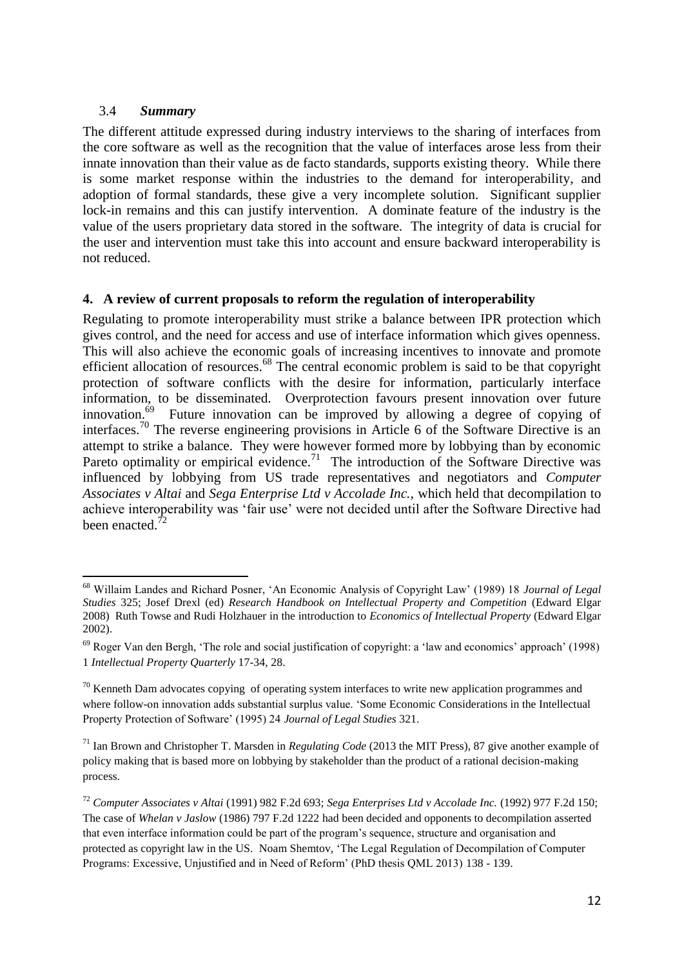## 3.4 *Summary*

<span id="page-11-1"></span><span id="page-11-0"></span>-

The different attitude expressed during industry interviews to the sharing of interfaces from the core software as well as the recognition that the value of interfaces arose less from their innate innovation than their value as de facto standards, supports existing theory. While there is some market response within the industries to the demand for interoperability, and adoption of formal standards, these give a very incomplete solution. Significant supplier lock-in remains and this can justify intervention. A dominate feature of the industry is the value of the users proprietary data stored in the software. The integrity of data is crucial for the user and intervention must take this into account and ensure backward interoperability is not reduced.

## **4. A review of current proposals to reform the regulation of interoperability**

Regulating to promote interoperability must strike a balance between IPR protection which gives control, and the need for access and use of interface information which gives openness. This will also achieve the economic goals of increasing incentives to innovate and promote efficient allocation of resources.<sup>68</sup> The central economic problem is said to be that copyright protection of software conflicts with the desire for information, particularly interface information, to be disseminated. Overprotection favours present innovation over future innovation.<sup>69</sup> Future innovation can be improved by allowing a degree of copying of interfaces.<sup>70</sup> The reverse engineering provisions in Article 6 of the Software Directive is an attempt to strike a balance. They were however formed more by lobbying than by economic Pareto optimality or empirical evidence.<sup>71</sup> The introduction of the Software Directive was influenced by lobbying from US trade representatives and negotiators and *Computer Associates v Altai* and *Sega Enterprise Ltd v Accolade Inc.,* which held that decompilation to achieve interoperability was 'fair use' were not decided until after the Software Directive had been enacted.<sup> $72$ </sup>

<sup>68</sup> Willaim Landes and Richard Posner, 'An Economic Analysis of Copyright Law' (1989) 18 *Journal of Legal Studies* 325; Josef Drexl (ed) *Research Handbook on Intellectual Property and Competition* (Edward Elgar 2008) Ruth Towse and Rudi Holzhauer in the introduction to *Economics of Intellectual Property* (Edward Elgar 2002).

<sup>69</sup> Roger Van den Bergh, 'The role and social justification of copyright: a 'law and economics' approach' (1998) 1 *Intellectual Property Quarterly* 17-34, 28.

 $70$  Kenneth Dam advocates copying of operating system interfaces to write new application programmes and where follow-on innovation adds substantial surplus value. 'Some Economic Considerations in the Intellectual Property Protection of Software' (1995) 24 *Journal of Legal Studies* 321.

<sup>71</sup> Ian Brown and Christopher T. Marsden in *Regulating Code* (2013 the MIT Press), 87 give another example of policy making that is based more on lobbying by stakeholder than the product of a rational decision-making process.

<sup>72</sup> *Computer Associates v Altai* (1991) 982 F.2d 693; *Sega Enterprises Ltd v Accolade Inc.* (1992) 977 F.2d 150; The case of *Whelan v Jaslow* (1986) 797 F.2d 1222 had been decided and opponents to decompilation asserted that even interface information could be part of the program's sequence, structure and organisation and protected as copyright law in the US. Noam Shemtov, 'The Legal Regulation of Decompilation of Computer Programs: Excessive, Unjustified and in Need of Reform' (PhD thesis QML 2013) 138 - 139.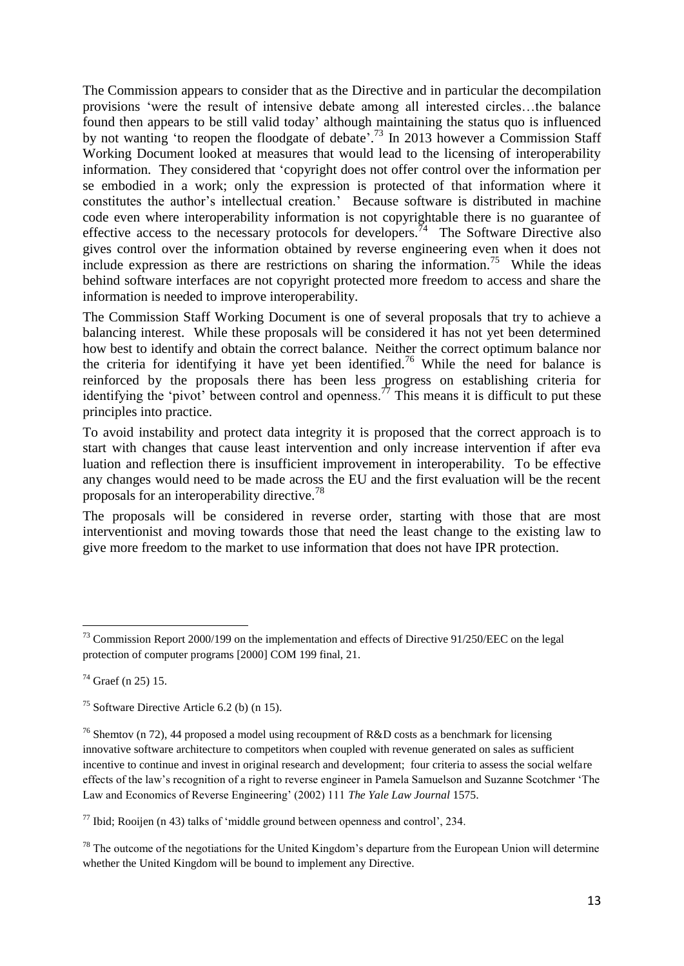The Commission appears to consider that as the Directive and in particular the decompilation provisions 'were the result of intensive debate among all interested circles…the balance found then appears to be still valid today' although maintaining the status quo is influenced by not wanting 'to reopen the floodgate of debate'.<sup>73</sup> In 2013 however a Commission Staff Working Document looked at measures that would lead to the licensing of interoperability information. They considered that 'copyright does not offer control over the information per se embodied in a work; only the expression is protected of that information where it constitutes the author's intellectual creation.' Because software is distributed in machine code even where interoperability information is not copyrightable there is no guarantee of effective access to the necessary protocols for developers.<sup>74</sup> The Software Directive also gives control over the information obtained by reverse engineering even when it does not include expression as there are restrictions on sharing the information.<sup>75</sup> While the ideas behind software interfaces are not copyright protected more freedom to access and share the information is needed to improve interoperability.

<span id="page-12-0"></span>The Commission Staff Working Document is one of several proposals that try to achieve a balancing interest. While these proposals will be considered it has not yet been determined how best to identify and obtain the correct balance. Neither the correct optimum balance nor the criteria for identifying it have yet been identified.<sup>76</sup> While the need for balance is reinforced by the proposals there has been less progress on establishing criteria for identifying the 'pivot' between control and openness.<sup>77</sup> This means it is difficult to put these principles into practice.

To avoid instability and protect data integrity it is proposed that the correct approach is to start with changes that cause least intervention and only increase intervention if after eva luation and reflection there is insufficient improvement in interoperability. To be effective any changes would need to be made across the EU and the first evaluation will be the recent proposals for an interoperability directive.<sup>78</sup>

The proposals will be considered in reverse order, starting with those that are most interventionist and moving towards those that need the least change to the existing law to give more freedom to the market to use information that does not have IPR protection.

 $73$  Commission Report 2000/199 on the implementation and effects of Directive 91/250/EEC on the legal protection of computer programs [2000] COM 199 final, 21.

 $74$  Graef (n [25\)](#page-4-1) 15.

 $75$  Software Directive Article 6.2 (b) ([n 15\)](#page-3-0).

<sup>&</sup>lt;sup>76</sup> Shemtov (n [72\)](#page-11-0), 44 proposed a model using recoupment of R&D costs as a benchmark for licensing innovative software architecture to competitors when coupled with revenue generated on sales as sufficient incentive to continue and invest in original research and development; four criteria to assess the social welfare effects of the law's recognition of a right to reverse engineer in Pamela Samuelson and Suzanne Scotchmer 'The Law and Economics of Reverse Engineering' (2002) 111 *The Yale Law Journal* 1575.

 $77$  Ibid; Rooijen (n [43\)](#page-7-0) talks of 'middle ground between openness and control', 234.

<sup>&</sup>lt;sup>78</sup> The outcome of the negotiations for the United Kingdom's departure from the European Union will determine whether the United Kingdom will be bound to implement any Directive.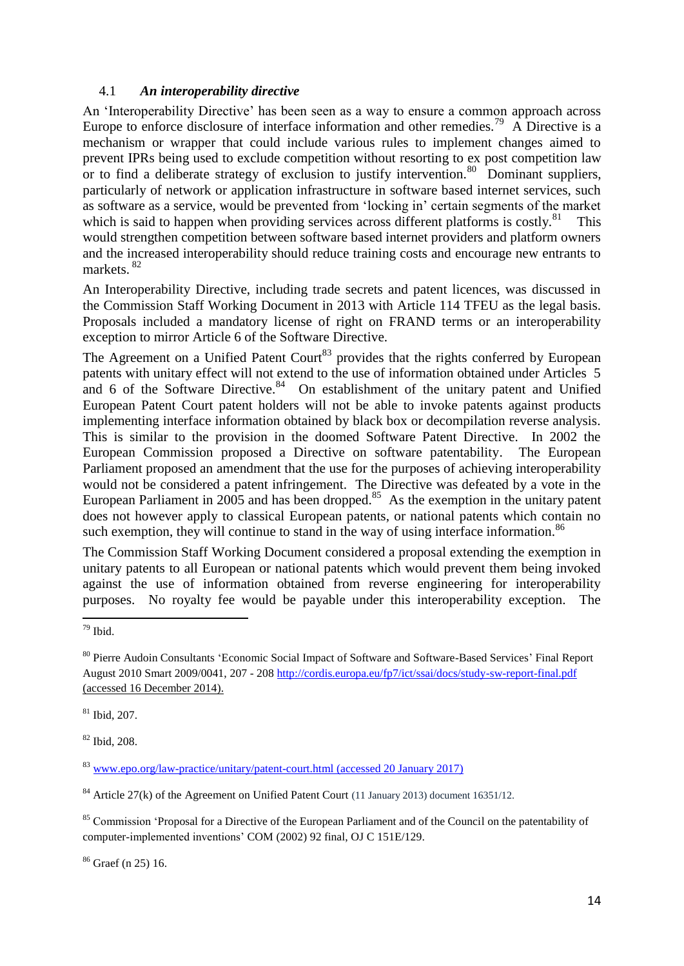## 4.1 *An interoperability directive*

An 'Interoperability Directive' has been seen as a way to ensure a common approach across Europe to enforce disclosure of interface information and other remedies.<sup>79</sup> A Directive is a mechanism or wrapper that could include various rules to implement changes aimed to prevent IPRs being used to exclude competition without resorting to ex post competition law or to find a deliberate strategy of exclusion to justify intervention.<sup>80</sup> Dominant suppliers, particularly of network or application infrastructure in software based internet services, such as software as a service, would be prevented from 'locking in' certain segments of the market which is said to happen when providing services across different platforms is costly. $81$  This would strengthen competition between software based internet providers and platform owners and the increased interoperability should reduce training costs and encourage new entrants to markets. 82

An Interoperability Directive, including trade secrets and patent licences, was discussed in the Commission Staff Working Document in 2013 with Article 114 TFEU as the legal basis. Proposals included a mandatory license of right on FRAND terms or an interoperability exception to mirror Article 6 of the Software Directive.

The Agreement on a Unified Patent Court<sup>83</sup> provides that the rights conferred by European patents with unitary effect will not extend to the use of information obtained under Articles 5 and 6 of the Software Directive.<sup>84</sup> On establishment of the unitary patent and Unified European Patent Court patent holders will not be able to invoke patents against products implementing interface information obtained by black box or decompilation reverse analysis. This is similar to the provision in the doomed Software Patent Directive. In 2002 the European Commission proposed a Directive on software patentability. The European Parliament proposed an amendment that the use for the purposes of achieving interoperability would not be considered a patent infringement. The Directive was defeated by a vote in the European Parliament in 2005 and has been dropped.<sup>85</sup> As the exemption in the unitary patent does not however apply to classical European patents, or national patents which contain no such exemption, they will continue to stand in the way of using interface information.<sup>86</sup>

The Commission Staff Working Document considered a proposal extending the exemption in unitary patents to all European or national patents which would prevent them being invoked against the use of information obtained from reverse engineering for interoperability purposes. No royalty fee would be payable under this interoperability exception. The

<sup>81</sup> Ibid, 207.

<sup>82</sup> Ibid, 208.

<sup>-</sup><sup>79</sup> Ibid.

<sup>&</sup>lt;sup>80</sup> Pierre Audoin Consultants 'Economic Social Impact of Software and Software-Based Services' Final Report August 2010 Smart 2009/0041, 207 - 208<http://cordis.europa.eu/fp7/ict/ssai/docs/study-sw-report-final.pdf> (accessed 16 December 2014).

<sup>83</sup> [www.epo.org/law-practice/unitary/patent-court.html](http://www.epo.org/law-practice/unitary/patent-court.html) (accessed 20 January 2017)

<sup>&</sup>lt;sup>84</sup> Article 27(k) of the Agreement on Unified Patent Court (11 January 2013) document 16351/12.

<sup>&</sup>lt;sup>85</sup> Commission 'Proposal for a Directive of the European Parliament and of the Council on the patentability of computer-implemented inventions' COM (2002) 92 final, OJ C 151E/129.

 $86$  Graef (n [25\)](#page-4-1) 16.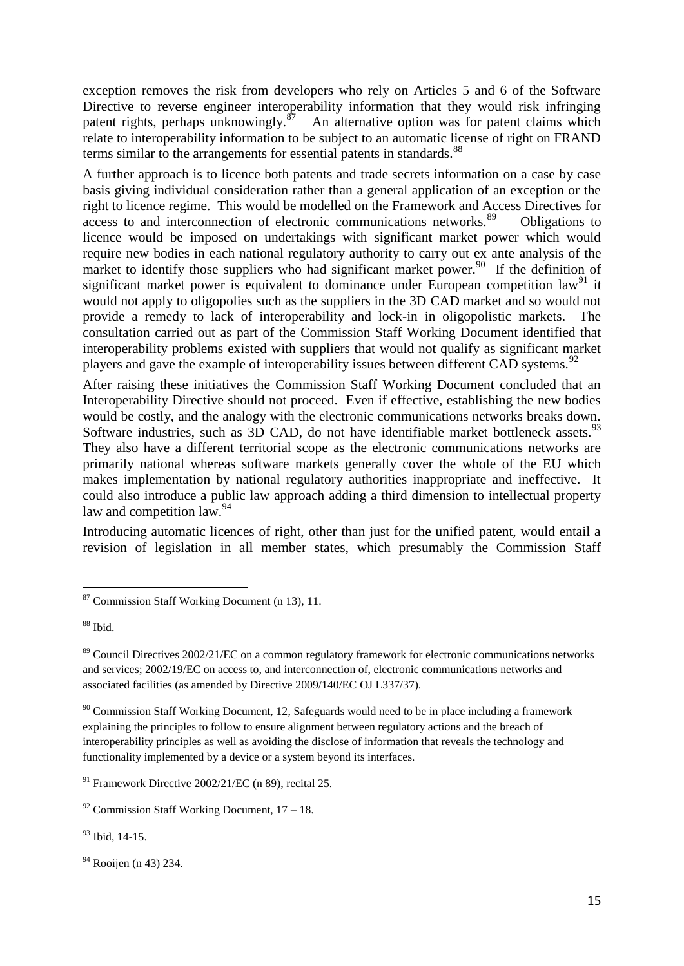exception removes the risk from developers who rely on Articles 5 and 6 of the Software Directive to reverse engineer interoperability information that they would risk infringing patent rights, perhaps unknowingly. $\frac{87}{7}$  An alternative option was for patent claims which relate to interoperability information to be subject to an automatic license of right on FRAND terms similar to the arrangements for essential patents in standards.<sup>88</sup>

<span id="page-14-0"></span>A further approach is to licence both patents and trade secrets information on a case by case basis giving individual consideration rather than a general application of an exception or the right to licence regime. This would be modelled on the Framework and Access Directives for access to and interconnection of electronic communications networks.<sup>89</sup> Obligations to licence would be imposed on undertakings with significant market power which would require new bodies in each national regulatory authority to carry out ex ante analysis of the market to identify those suppliers who had significant market power.<sup>90</sup> If the definition of significant market power is equivalent to dominance under European competition  $law<sup>91</sup>$  it would not apply to oligopolies such as the suppliers in the 3D CAD market and so would not provide a remedy to lack of interoperability and lock-in in oligopolistic markets. The consultation carried out as part of the Commission Staff Working Document identified that interoperability problems existed with suppliers that would not qualify as significant market players and gave the example of interoperability issues between different CAD systems.<sup>92</sup>

After raising these initiatives the Commission Staff Working Document concluded that an Interoperability Directive should not proceed. Even if effective, establishing the new bodies would be costly, and the analogy with the electronic communications networks breaks down. Software industries, such as 3D CAD, do not have identifiable market bottleneck assets.<sup>93</sup> They also have a different territorial scope as the electronic communications networks are primarily national whereas software markets generally cover the whole of the EU which makes implementation by national regulatory authorities inappropriate and ineffective. It could also introduce a public law approach adding a third dimension to intellectual property law and competition law.<sup>94</sup>

Introducing automatic licences of right, other than just for the unified patent, would entail a revision of legislation in all member states, which presumably the Commission Staff

-

<sup>90</sup> Commission Staff Working Document, 12, Safeguards would need to be in place including a framework explaining the principles to follow to ensure alignment between regulatory actions and the breach of interoperability principles as well as avoiding the disclose of information that reveals the technology and functionality implemented by a device or a system beyond its interfaces.

<sup>&</sup>lt;sup>87</sup> Commission Staff Working Document (n [13\)](#page-2-3), 11.

<sup>88</sup> Ibid.

<sup>&</sup>lt;sup>89</sup> Council Directives 2002/21/EC on a common regulatory framework for electronic communications networks and services; 2002/19/EC on access to, and interconnection of, electronic communications networks and associated facilities (as amended by Directive 2009/140/EC OJ L337/37).

 $91$  Framework Directive 2002/21/EC (n [89\)](#page-14-0), recital 25.

 $92$  Commission Staff Working Document,  $17 - 18$ .

<sup>93</sup> Ibid, 14-15.

<sup>&</sup>lt;sup>94</sup> Rooijen (n [43\)](#page-7-0) 234.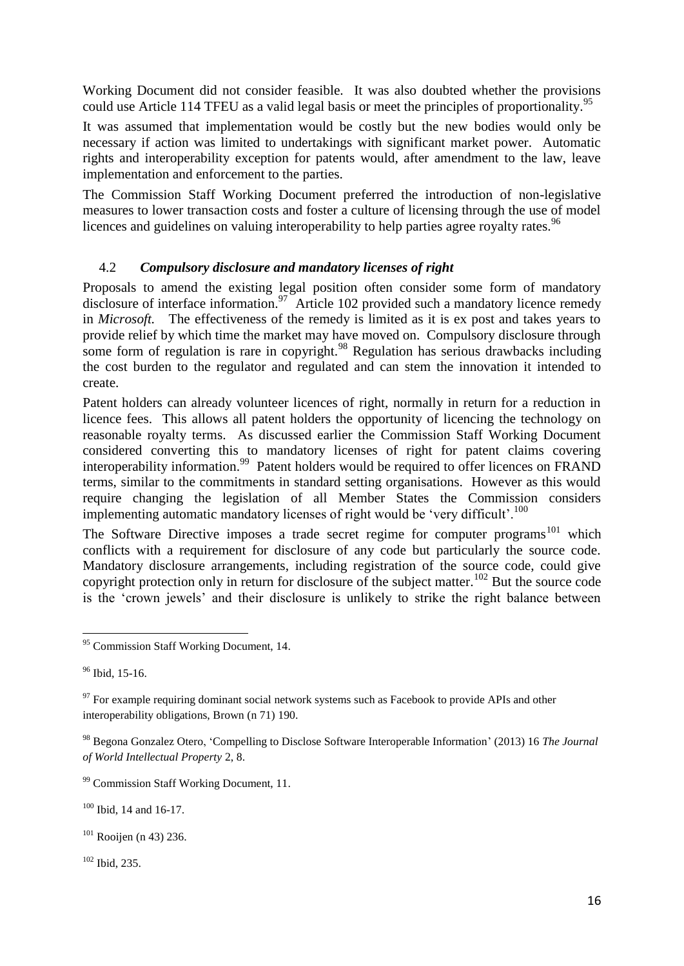Working Document did not consider feasible. It was also doubted whether the provisions could use Article 114 TFEU as a valid legal basis or meet the principles of proportionality.<sup>95</sup>

It was assumed that implementation would be costly but the new bodies would only be necessary if action was limited to undertakings with significant market power. Automatic rights and interoperability exception for patents would, after amendment to the law, leave implementation and enforcement to the parties.

The Commission Staff Working Document preferred the introduction of non-legislative measures to lower transaction costs and foster a culture of licensing through the use of model licences and guidelines on valuing interoperability to help parties agree royalty rates.<sup>96</sup>

## 4.2 *Compulsory disclosure and mandatory licenses of right*

Proposals to amend the existing legal position often consider some form of mandatory disclosure of interface information.<sup>97</sup> Article 102 provided such a mandatory licence remedy in *Microsoft.* The effectiveness of the remedy is limited as it is ex post and takes years to provide relief by which time the market may have moved on. Compulsory disclosure through some form of regulation is rare in copyright.<sup>98</sup> Regulation has serious drawbacks including the cost burden to the regulator and regulated and can stem the innovation it intended to create.

Patent holders can already volunteer licences of right, normally in return for a reduction in licence fees. This allows all patent holders the opportunity of licencing the technology on reasonable royalty terms. As discussed earlier the Commission Staff Working Document considered converting this to mandatory licenses of right for patent claims covering interoperability information.<sup>99</sup> Patent holders would be required to offer licences on FRAND terms, similar to the commitments in standard setting organisations. However as this would require changing the legislation of all Member States the Commission considers implementing automatic mandatory licenses of right would be 'very difficult'.<sup>100</sup>

The Software Directive imposes a trade secret regime for computer programs<sup>101</sup> which conflicts with a requirement for disclosure of any code but particularly the source code. Mandatory disclosure arrangements, including registration of the source code, could give copyright protection only in return for disclosure of the subject matter.<sup>102</sup> But the source code is the 'crown jewels' and their disclosure is unlikely to strike the right balance between

-

 $102$  Ibid, 235.

<sup>&</sup>lt;sup>95</sup> Commission Staff Working Document, 14.

<sup>96</sup> Ibid, 15-16.

 $97$  For example requiring dominant social network systems such as Facebook to provide APIs and other interoperability obligations, Brown (n [71\)](#page-11-1) 190.

<sup>98</sup> Begona Gonzalez Otero, 'Compelling to Disclose Software Interoperable Information' (2013) 16 *The Journal of World Intellectual Property* 2, 8.

<sup>99</sup> Commission Staff Working Document, 11.

 $100$  Ibid, 14 and 16-17.

 $101$  Rooijen (n [43\)](#page-7-0) 236.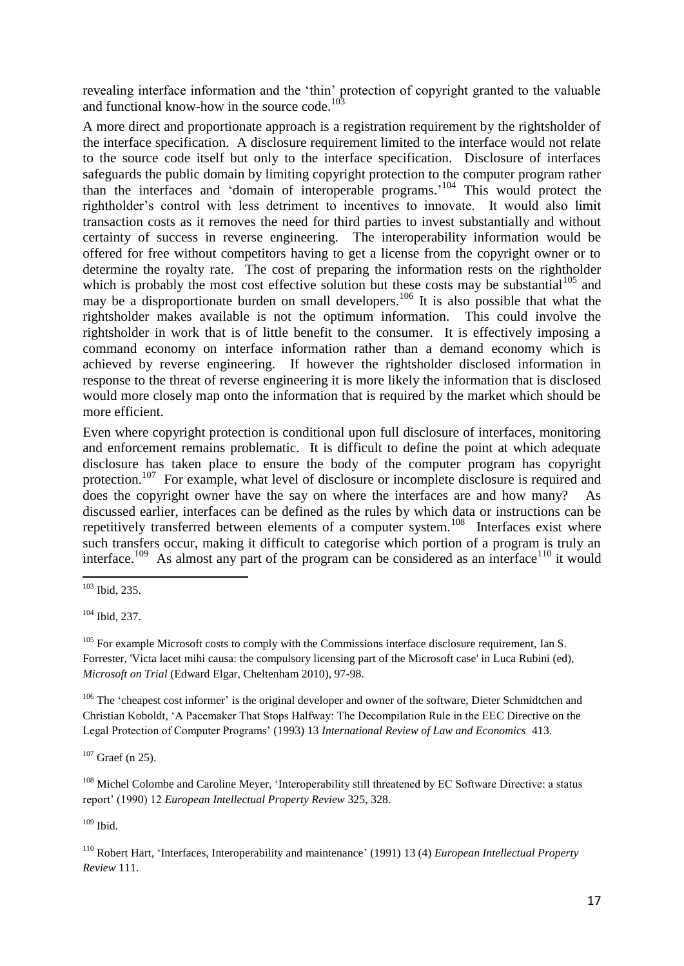revealing interface information and the 'thin' protection of copyright granted to the valuable and functional know-how in the source code. $103$ 

A more direct and proportionate approach is a registration requirement by the rightsholder of the interface specification. A disclosure requirement limited to the interface would not relate to the source code itself but only to the interface specification. Disclosure of interfaces safeguards the public domain by limiting copyright protection to the computer program rather than the interfaces and 'domain of interoperable programs.' <sup>104</sup> This would protect the rightholder's control with less detriment to incentives to innovate. It would also limit transaction costs as it removes the need for third parties to invest substantially and without certainty of success in reverse engineering. The interoperability information would be offered for free without competitors having to get a license from the copyright owner or to determine the royalty rate. The cost of preparing the information rests on the rightholder which is probably the most cost effective solution but these costs may be substantial<sup>105</sup> and may be a disproportionate burden on small developers.<sup>106</sup> It is also possible that what the rightsholder makes available is not the optimum information. This could involve the rightsholder in work that is of little benefit to the consumer. It is effectively imposing a command economy on interface information rather than a demand economy which is achieved by reverse engineering. If however the rightsholder disclosed information in response to the threat of reverse engineering it is more likely the information that is disclosed would more closely map onto the information that is required by the market which should be more efficient.

<span id="page-16-1"></span>Even where copyright protection is conditional upon full disclosure of interfaces, monitoring and enforcement remains problematic. It is difficult to define the point at which adequate disclosure has taken place to ensure the body of the computer program has copyright protection.<sup>107</sup> For example, what level of disclosure or incomplete disclosure is required and does the copyright owner have the say on where the interfaces are and how many? As discussed earlier, interfaces can be defined as the rules by which data or instructions can be repetitively transferred between elements of a computer system.<sup>108</sup> Interfaces exist where such transfers occur, making it difficult to categorise which portion of a program is truly an interface.<sup>109</sup> As almost any part of the program can be considered as an interface<sup>110</sup> it would

<span id="page-16-0"></span>-

<sup>104</sup> Ibid, 237.

 $105$  For example Microsoft costs to comply with the Commissions interface disclosure requirement, Ian S. Forrester, 'Victa lacet mihi causa: the compulsory licensing part of the Microsoft case' in Luca Rubini (ed), *Microsoft on Trial* (Edward Elgar, Cheltenham 2010), 97-98.

<sup>106</sup> The 'cheapest cost informer' is the original developer and owner of the software, Dieter Schmidtchen and Christian Koboldt, 'A Pacemaker That Stops Halfway: The Decompilation Rule in the EEC Directive on the Legal Protection of Computer Programs' (1993) 13 *International Review of Law and Economics* 413.

 $107$  Graef (n [25\)](#page-4-1).

<sup>108</sup> Michel Colombe and Caroline Meyer, 'Interoperability still threatened by EC Software Directive: a status report' (1990) 12 *European Intellectual Property Review* 325, 328.

 $109$  Ibid.

<sup>110</sup> Robert Hart, 'Interfaces, Interoperability and maintenance' (1991) 13 (4) *European Intellectual Property Review* 111.

<sup>103</sup> Ibid, 235.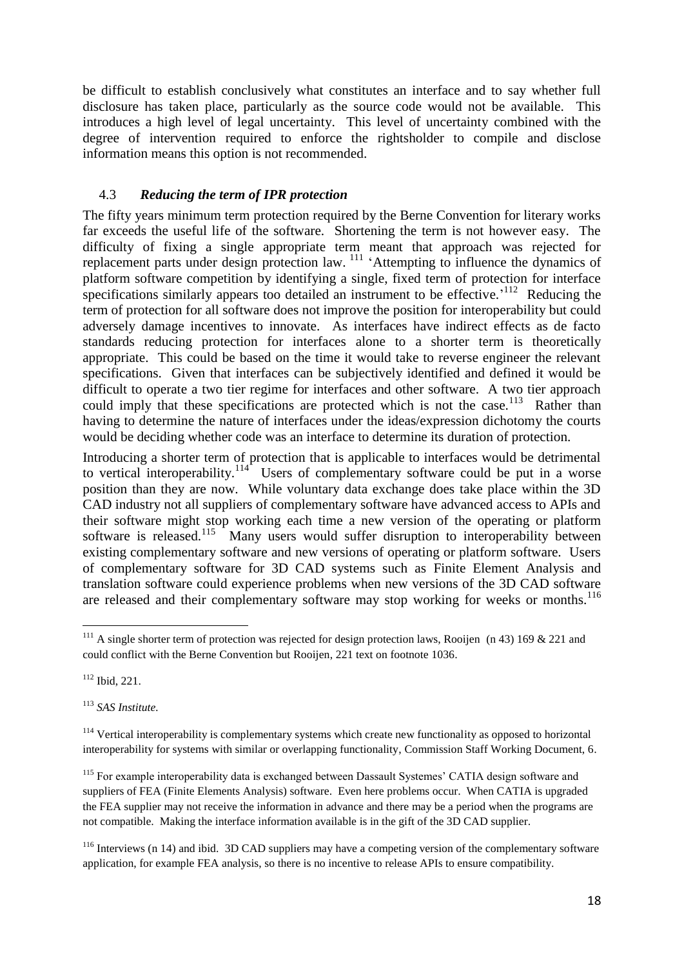be difficult to establish conclusively what constitutes an interface and to say whether full disclosure has taken place, particularly as the source code would not be available. This introduces a high level of legal uncertainty. This level of uncertainty combined with the degree of intervention required to enforce the rightsholder to compile and disclose information means this option is not recommended.

# 4.3 *Reducing the term of IPR protection*

The fifty years minimum term protection required by the Berne Convention for literary works far exceeds the useful life of the software. Shortening the term is not however easy. The difficulty of fixing a single appropriate term meant that approach was rejected for replacement parts under design protection law. <sup>111</sup> 'Attempting to influence the dynamics of platform software competition by identifying a single, fixed term of protection for interface specifications similarly appears too detailed an instrument to be effective.<sup>112</sup> Reducing the term of protection for all software does not improve the position for interoperability but could adversely damage incentives to innovate. As interfaces have indirect effects as de facto standards reducing protection for interfaces alone to a shorter term is theoretically appropriate. This could be based on the time it would take to reverse engineer the relevant specifications. Given that interfaces can be subjectively identified and defined it would be difficult to operate a two tier regime for interfaces and other software. A two tier approach could imply that these specifications are protected which is not the case.<sup>113</sup> Rather than having to determine the nature of interfaces under the ideas/expression dichotomy the courts would be deciding whether code was an interface to determine its duration of protection.

Introducing a shorter term of protection that is applicable to interfaces would be detrimental to vertical interoperability.<sup>114</sup> Users of complementary software could be put in a worse position than they are now. While voluntary data exchange does take place within the 3D CAD industry not all suppliers of complementary software have advanced access to APIs and their software might stop working each time a new version of the operating or platform software is released.<sup>115</sup> Many users would suffer disruption to interoperability between existing complementary software and new versions of operating or platform software. Users of complementary software for 3D CAD systems such as Finite Element Analysis and translation software could experience problems when new versions of the 3D CAD software are released and their complementary software may stop working for weeks or months.<sup>116</sup>

<sup>112</sup> Ibid, 221.

<sup>113</sup> *SAS Institute.*

<sup>114</sup> Vertical interoperability is complementary systems which create new functionality as opposed to horizontal interoperability for systems with similar or overlapping functionality, Commission Staff Working Document, 6.

<sup>115</sup> For example interoperability data is exchanged between Dassault Systemes' CATIA design software and suppliers of FEA (Finite Elements Analysis) software. Even here problems occur. When CATIA is upgraded the FEA supplier may not receive the information in advance and there may be a period when the programs are not compatible. Making the interface information available is in the gift of the 3D CAD supplier.

<sup>116</sup> Interviews (n [14\)](#page-2-1) and ibid. 3D CAD suppliers may have a competing version of the complementary software application, for example FEA analysis, so there is no incentive to release APIs to ensure compatibility.

<sup>-</sup><sup>111</sup> A single shorter term of protection was rejected for design protection laws, Rooijen (n [43\)](#page-7-0) 169 & 221 and could conflict with the Berne Convention but Rooijen, 221 text on footnote 1036.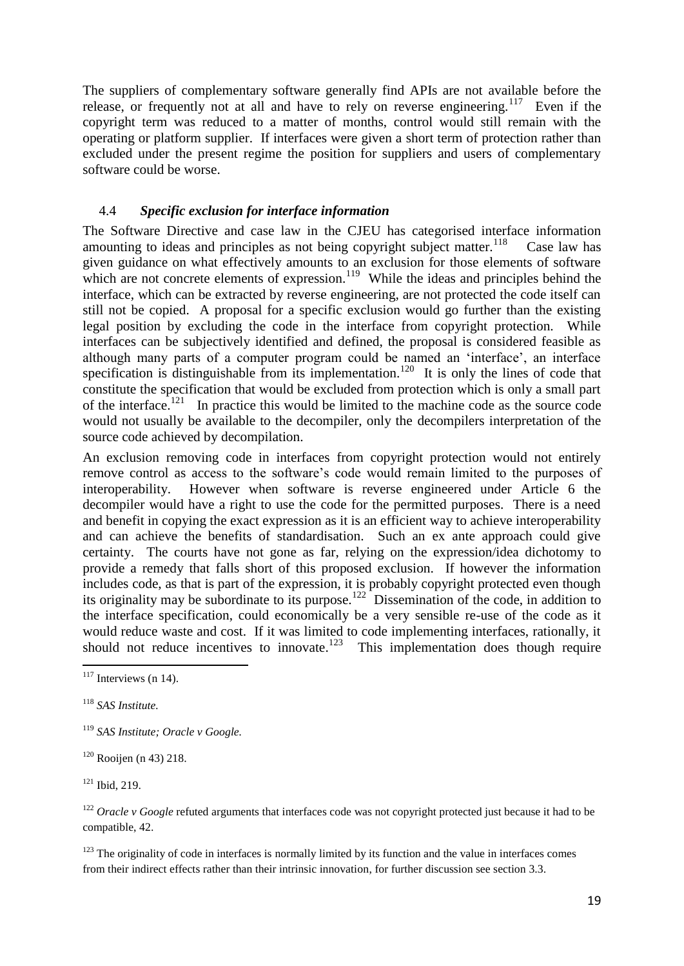The suppliers of complementary software generally find APIs are not available before the release, or frequently not at all and have to rely on reverse engineering.<sup>117</sup> Even if the copyright term was reduced to a matter of months, control would still remain with the operating or platform supplier. If interfaces were given a short term of protection rather than excluded under the present regime the position for suppliers and users of complementary software could be worse.

## <span id="page-18-0"></span>4.4 *Specific exclusion for interface information*

The Software Directive and case law in the CJEU has categorised interface information amounting to ideas and principles as not being copyright subject matter.<sup>118</sup> Case law has given guidance on what effectively amounts to an exclusion for those elements of software which are not concrete elements of expression.<sup>119</sup> While the ideas and principles behind the interface, which can be extracted by reverse engineering, are not protected the code itself can still not be copied. A proposal for a specific exclusion would go further than the existing legal position by excluding the code in the interface from copyright protection. While interfaces can be subjectively identified and defined, the proposal is considered feasible as although many parts of a computer program could be named an 'interface', an interface specification is distinguishable from its implementation.<sup>120</sup> It is only the lines of code that constitute the specification that would be excluded from protection which is only a small part of the interface.<sup>121</sup> In practice this would be limited to the machine code as the source code would not usually be available to the decompiler, only the decompilers interpretation of the source code achieved by decompilation.

An exclusion removing code in interfaces from copyright protection would not entirely remove control as access to the software's code would remain limited to the purposes of interoperability. However when software is reverse engineered under Article 6 the decompiler would have a right to use the code for the permitted purposes. There is a need and benefit in copying the exact expression as it is an efficient way to achieve interoperability and can achieve the benefits of standardisation. Such an ex ante approach could give certainty. The courts have not gone as far, relying on the expression/idea dichotomy to provide a remedy that falls short of this proposed exclusion. If however the information includes code, as that is part of the expression, it is probably copyright protected even though its originality may be subordinate to its purpose.<sup>122</sup> Dissemination of the code, in addition to the interface specification, could economically be a very sensible re-use of the code as it would reduce waste and cost. If it was limited to code implementing interfaces, rationally, it should not reduce incentives to innovate.<sup>123</sup> This implementation does though require

<sup>118</sup> *SAS Institute.*

 $121$  Ibid, 219.

 $123$  The originality of code in interfaces is normally limited by its function and the value in interfaces comes from their indirect effects rather than their intrinsic innovation, for further discussion see section [3.3.](#page-10-0)

<sup>-</sup> $117$  Interviews (n [14\)](#page-2-1).

<sup>119</sup> *SAS Institute; Oracle v Google.*

 $120$  Rooijen (n [43\)](#page-7-0) 218.

<sup>&</sup>lt;sup>122</sup> *Oracle v Google* refuted arguments that interfaces code was not copyright protected just because it had to be compatible, 42.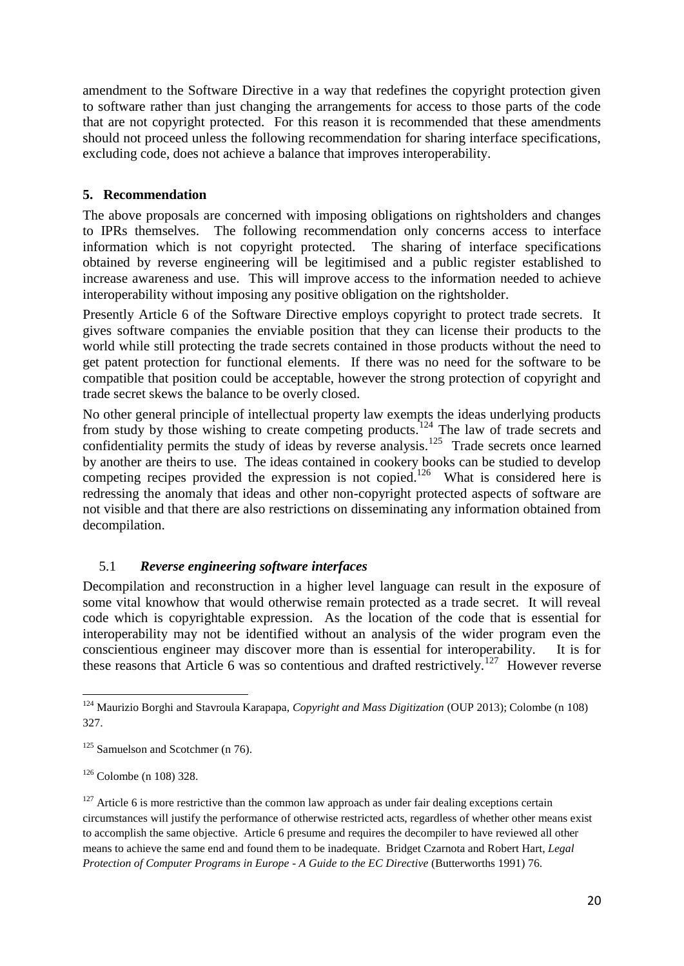amendment to the Software Directive in a way that redefines the copyright protection given to software rather than just changing the arrangements for access to those parts of the code that are not copyright protected. For this reason it is recommended that these amendments should not proceed unless the following recommendation for sharing interface specifications, excluding code, does not achieve a balance that improves interoperability.

## **5. Recommendation**

The above proposals are concerned with imposing obligations on rightsholders and changes to IPRs themselves. The following recommendation only concerns access to interface information which is not copyright protected. The sharing of interface specifications obtained by reverse engineering will be legitimised and a public register established to increase awareness and use. This will improve access to the information needed to achieve interoperability without imposing any positive obligation on the rightsholder.

Presently Article 6 of the Software Directive employs copyright to protect trade secrets. It gives software companies the enviable position that they can license their products to the world while still protecting the trade secrets contained in those products without the need to get patent protection for functional elements. If there was no need for the software to be compatible that position could be acceptable, however the strong protection of copyright and trade secret skews the balance to be overly closed.

No other general principle of intellectual property law exempts the ideas underlying products from study by those wishing to create competing products.<sup>124</sup> The law of trade secrets and confidentiality permits the study of ideas by reverse analysis.<sup>125</sup> Trade secrets once learned by another are theirs to use. The ideas contained in cookery books can be studied to develop competing recipes provided the expression is not copied.<sup>126</sup> What is considered here is redressing the anomaly that ideas and other non-copyright protected aspects of software are not visible and that there are also restrictions on disseminating any information obtained from decompilation.

## <span id="page-19-0"></span>5.1 *Reverse engineering software interfaces*

Decompilation and reconstruction in a higher level language can result in the exposure of some vital knowhow that would otherwise remain protected as a trade secret. It will reveal code which is copyrightable expression. As the location of the code that is essential for interoperability may not be identified without an analysis of the wider program even the conscientious engineer may discover more than is essential for interoperability. It is for these reasons that Article 6 was so contentious and drafted restrictively.<sup>127</sup> However reverse

<sup>-</sup><sup>124</sup> Maurizio Borghi and Stavroula Karapapa, *Copyright and Mass Digitization* (OUP 2013); Colombe ([n 108\)](#page-16-0) 327.

<sup>&</sup>lt;sup>125</sup> Samuelson and Scotchmer ([n 76\)](#page-12-0).

 $126$  Colombe (n [108\)](#page-16-0) 328.

 $127$  Article 6 is more restrictive than the common law approach as under fair dealing exceptions certain circumstances will justify the performance of otherwise restricted acts, regardless of whether other means exist to accomplish the same objective. Article 6 presume and requires the decompiler to have reviewed all other means to achieve the same end and found them to be inadequate. Bridget Czarnota and Robert Hart, *Legal Protection of Computer Programs in Europe - A Guide to the EC Directive* (Butterworths 1991) 76.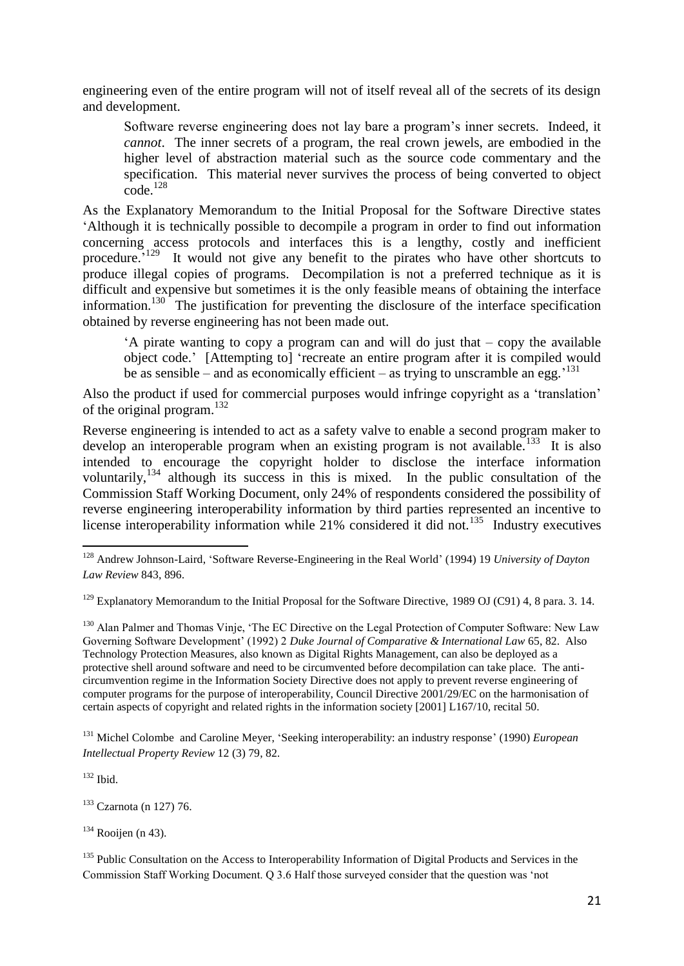engineering even of the entire program will not of itself reveal all of the secrets of its design and development.

Software reverse engineering does not lay bare a program's inner secrets. Indeed, it *cannot*. The inner secrets of a program, the real crown jewels, are embodied in the higher level of abstraction material such as the source code commentary and the specification. This material never survives the process of being converted to object  $code<sub>.128</sub>$ 

As the Explanatory Memorandum to the Initial Proposal for the Software Directive states 'Although it is technically possible to decompile a program in order to find out information concerning access protocols and interfaces this is a lengthy, costly and inefficient procedure.<sup>129</sup> It would not give any benefit to the pirates who have other shortcuts to produce illegal copies of programs. Decompilation is not a preferred technique as it is difficult and expensive but sometimes it is the only feasible means of obtaining the interface information.<sup>130</sup> The justification for preventing the disclosure of the interface specification obtained by reverse engineering has not been made out.

<span id="page-20-0"></span>'A pirate wanting to copy a program can and will do just that – copy the available object code.' [Attempting to] 'recreate an entire program after it is compiled would be as sensible – and as economically efficient – as trying to unscramble an egg.<sup>131</sup>

Also the product if used for commercial purposes would infringe copyright as a 'translation' of the original program.<sup>132</sup>

Reverse engineering is intended to act as a safety valve to enable a second program maker to develop an interoperable program when an existing program is not available.<sup>133</sup> It is also intended to encourage the copyright holder to disclose the interface information voluntarily,<sup>134</sup> although its success in this is mixed. In the public consultation of the Commission Staff Working Document, only 24% of respondents considered the possibility of reverse engineering interoperability information by third parties represented an incentive to license interoperability information while 21% considered it did not.<sup>135</sup> Industry executives

<sup>131</sup> Michel Colombe and Caroline Meyer, 'Seeking interoperability: an industry response' (1990) *European Intellectual Property Review* 12 (3) 79, 82.

 $132$  Ibid.

-

<sup>133</sup> Czarnota ([n 127\)](#page-19-0) 76.

 $134$  Rooijen (n [43\)](#page-7-0).

<sup>135</sup> Public Consultation on the Access to Interoperability Information of Digital Products and Services in the Commission Staff Working Document. Q 3.6 Half those surveyed consider that the question was 'not

<sup>128</sup> Andrew Johnson-Laird, 'Software Reverse-Engineering in the Real World' (1994) 19 *University of Dayton Law Review* 843, 896.

<sup>&</sup>lt;sup>129</sup> Explanatory Memorandum to the Initial Proposal for the Software Directive, 1989 OJ (C91) 4, 8 para. 3. 14.

<sup>&</sup>lt;sup>130</sup> Alan Palmer and Thomas Vinje, 'The EC Directive on the Legal Protection of Computer Software: New Law Governing Software Development' (1992) 2 *Duke Journal of Comparative & International Law* 65, 82. Also Technology Protection Measures, also known as Digital Rights Management, can also be deployed as a protective shell around software and need to be circumvented before decompilation can take place. The anticircumvention regime in the Information Society Directive does not apply to prevent reverse engineering of computer programs for the purpose of interoperability, Council Directive 2001/29/EC on the harmonisation of certain aspects of copyright and related rights in the information society [2001] L167/10, recital 50.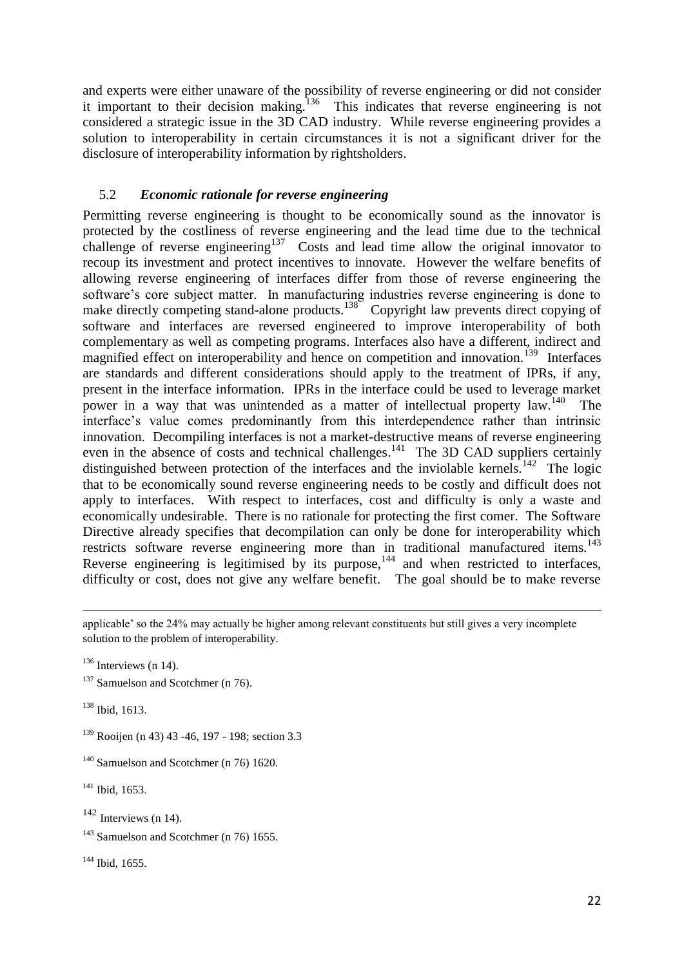and experts were either unaware of the possibility of reverse engineering or did not consider it important to their decision making.<sup>136</sup> This indicates that reverse engineering is not considered a strategic issue in the 3D CAD industry. While reverse engineering provides a solution to interoperability in certain circumstances it is not a significant driver for the disclosure of interoperability information by rightsholders.

## <span id="page-21-0"></span>5.2 *Economic rationale for reverse engineering*

Permitting reverse engineering is thought to be economically sound as the innovator is protected by the costliness of reverse engineering and the lead time due to the technical challenge of reverse engineering<sup>137</sup> Costs and lead time allow the original innovator to recoup its investment and protect incentives to innovate. However the welfare benefits of allowing reverse engineering of interfaces differ from those of reverse engineering the software's core subject matter. In manufacturing industries reverse engineering is done to make directly competing stand-alone products.<sup>138</sup> Copyright law prevents direct copying of software and interfaces are reversed engineered to improve interoperability of both complementary as well as competing programs. Interfaces also have a different, indirect and magnified effect on interoperability and hence on competition and innovation.<sup>139</sup> Interfaces are standards and different considerations should apply to the treatment of IPRs, if any, present in the interface information. IPRs in the interface could be used to leverage market power in a way that was unintended as a matter of intellectual property law.<sup>140</sup> The interface's value comes predominantly from this interdependence rather than intrinsic innovation. Decompiling interfaces is not a market-destructive means of reverse engineering even in the absence of costs and technical challenges.<sup>141</sup> The 3D CAD suppliers certainly distinguished between protection of the interfaces and the inviolable kernels.<sup>142</sup> The logic that to be economically sound reverse engineering needs to be costly and difficult does not apply to interfaces. With respect to interfaces, cost and difficulty is only a waste and economically undesirable. There is no rationale for protecting the first comer. The Software Directive already specifies that decompilation can only be done for interoperability which restricts software reverse engineering more than in traditional manufactured items.<sup>143</sup> Reverse engineering is legitimised by its purpose, $144$  and when restricted to interfaces, difficulty or cost, does not give any welfare benefit. The goal should be to make reverse

<sup>138</sup> Ibid, 1613.

<sup>141</sup> Ibid, 1653.

 $142$  Interviews ([n 14\)](#page-2-1).

<sup>144</sup> Ibid, 1655.

applicable' so the 24% may actually be higher among relevant constituents but still gives a very incomplete solution to the problem of interoperability.

 $136$  Interviews (n [14\)](#page-2-1).

<sup>&</sup>lt;sup>137</sup> Samuelson and Scotchmer ([n 76\)](#page-12-0).

 $139$  Rooijen (n [43\)](#page-7-0) 43 -46, 197 - 198; section 3.3

<sup>&</sup>lt;sup>140</sup> Samuelson and Scotchmer ([n 76\)](#page-12-0) 1620.

<sup>&</sup>lt;sup>143</sup> Samuelson and Scotchmer ([n 76\)](#page-12-0) 1655.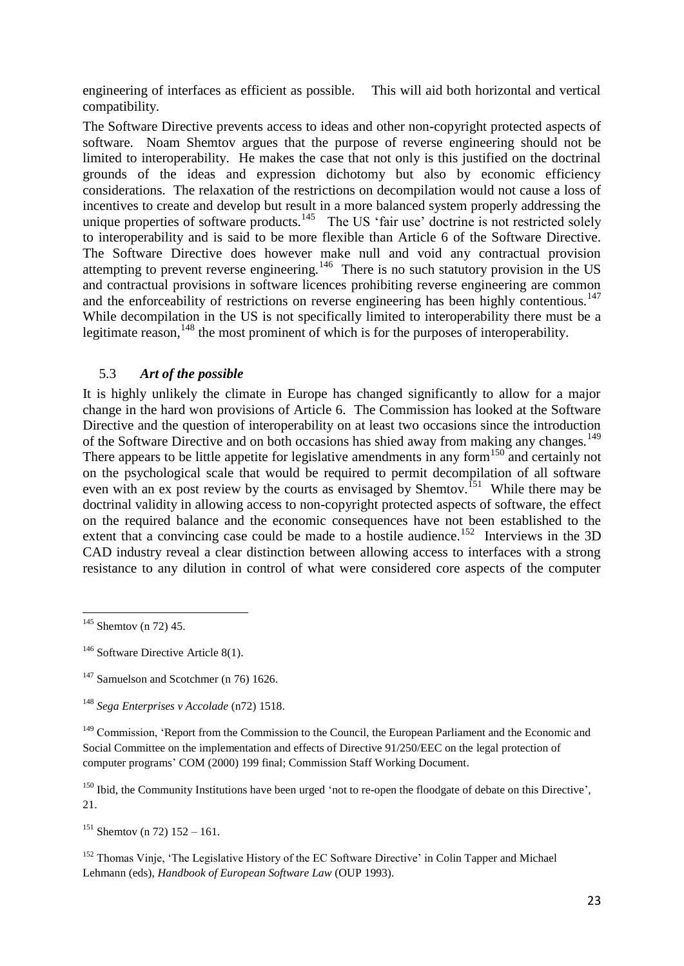engineering of interfaces as efficient as possible. This will aid both horizontal and vertical compatibility.

The Software Directive prevents access to ideas and other non-copyright protected aspects of software. Noam Shemtov argues that the purpose of reverse engineering should not be limited to interoperability. He makes the case that not only is this justified on the doctrinal grounds of the ideas and expression dichotomy but also by economic efficiency considerations. The relaxation of the restrictions on decompilation would not cause a loss of incentives to create and develop but result in a more balanced system properly addressing the unique properties of software products.<sup>145</sup> The US 'fair use' doctrine is not restricted solely to interoperability and is said to be more flexible than Article 6 of the Software Directive. The Software Directive does however make null and void any contractual provision attempting to prevent reverse engineering.<sup>146</sup> There is no such statutory provision in the US and contractual provisions in software licences prohibiting reverse engineering are common and the enforceability of restrictions on reverse engineering has been highly contentious.<sup>147</sup> While decompilation in the US is not specifically limited to interoperability there must be a legitimate reason,<sup>148</sup> the most prominent of which is for the purposes of interoperability.

## 5.3 *Art of the possible*

It is highly unlikely the climate in Europe has changed significantly to allow for a major change in the hard won provisions of Article 6. The Commission has looked at the Software Directive and the question of interoperability on at least two occasions since the introduction of the Software Directive and on both occasions has shied away from making any changes.<sup>149</sup> There appears to be little appetite for legislative amendments in any form  $150$  and certainly not on the psychological scale that would be required to permit decompilation of all software even with an ex post review by the courts as envisaged by Shemtov.<sup>151</sup> While there may be doctrinal validity in allowing access to non-copyright protected aspects of software, the effect on the required balance and the economic consequences have not been established to the extent that a convincing case could be made to a hostile audience.<sup>152</sup> Interviews in the 3D CAD industry reveal a clear distinction between allowing access to interfaces with a strong resistance to any dilution in control of what were considered core aspects of the computer

<span id="page-22-0"></span>-

<sup>149</sup> Commission, 'Report from the Commission to the Council, the European Parliament and the Economic and Social Committee on the implementation and effects of Directive 91/250/EEC on the legal protection of computer programs' COM (2000) 199 final; Commission Staff Working Document.

<sup>150</sup> Ibid, the Community Institutions have been urged 'not to re-open the floodgate of debate on this Directive'. 21.

<sup>151</sup> Shemtov (n [72\)](#page-11-0)  $152 - 161$ .

<sup>152</sup> Thomas Vinje, 'The Legislative History of the EC Software Directive' in Colin Tapper and Michael Lehmann (eds), *Handbook of European Software Law* (OUP 1993).

 $145$  Shemtov (n [72\)](#page-11-0) 45.

 $146$  Software Directive Article 8(1).

<sup>&</sup>lt;sup>147</sup> Samuelson and Scotchmer ([n 76\)](#page-12-0) 1626.

<sup>148</sup> *Sega Enterprises v Accolade* ([n72\)](#page-11-0) 1518.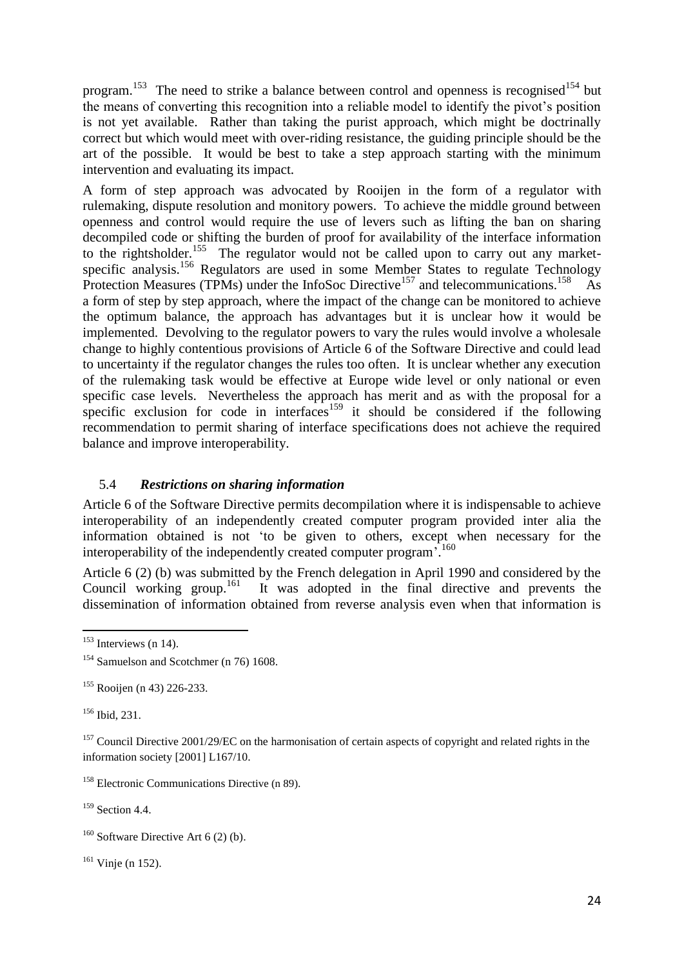program.<sup>153</sup> The need to strike a balance between control and openness is recognised<sup>154</sup> but the means of converting this recognition into a reliable model to identify the pivot's position is not yet available. Rather than taking the purist approach, which might be doctrinally correct but which would meet with over-riding resistance, the guiding principle should be the art of the possible. It would be best to take a step approach starting with the minimum intervention and evaluating its impact.

A form of step approach was advocated by Rooijen in the form of a regulator with rulemaking, dispute resolution and monitory powers. To achieve the middle ground between openness and control would require the use of levers such as lifting the ban on sharing decompiled code or shifting the burden of proof for availability of the interface information to the rightsholder.<sup>155</sup> The regulator would not be called upon to carry out any marketspecific analysis.<sup>156</sup> Regulators are used in some Member States to regulate Technology Protection Measures (TPMs) under the InfoSoc Directive<sup>157</sup> and telecommunications.<sup>158</sup> As a form of step by step approach, where the impact of the change can be monitored to achieve the optimum balance, the approach has advantages but it is unclear how it would be implemented. Devolving to the regulator powers to vary the rules would involve a wholesale change to highly contentious provisions of Article 6 of the Software Directive and could lead to uncertainty if the regulator changes the rules too often. It is unclear whether any execution of the rulemaking task would be effective at Europe wide level or only national or even specific case levels. Nevertheless the approach has merit and as with the proposal for a specific exclusion for code in interfaces<sup>159</sup> it should be considered if the following recommendation to permit sharing of interface specifications does not achieve the required balance and improve interoperability.

## 5.4 *Restrictions on sharing information*

Article 6 of the Software Directive permits decompilation where it is indispensable to achieve interoperability of an independently created computer program provided inter alia the information obtained is not 'to be given to others, except when necessary for the interoperability of the independently created computer program<sup>5</sup>.<sup>160</sup>

Article 6 (2) (b) was submitted by the French delegation in April 1990 and considered by the Council working group. $^{161}$  It was adopted in the final directive and prevents the dissemination of information obtained from reverse analysis even when that information is

<sup>156</sup> Ibid, 231.

-

<sup>157</sup> Council Directive 2001/29/EC on the harmonisation of certain aspects of copyright and related rights in the information society [2001] L167/10.

<sup>158</sup> Electronic Communications Directive ([n 89\)](#page-14-0).

 $159$  Section [4.4.](#page-18-0)

 $161$  Vinie (n [152\)](#page-22-0).

 $153$  Interviews (n [14\)](#page-2-1).

<sup>&</sup>lt;sup>154</sup> Samuelson and Scotchmer ([n 76\)](#page-12-0) 1608.

<sup>155</sup> Rooijen (n [43\)](#page-7-0) 226-233.

 $160$  Software Directive Art 6 (2) (b).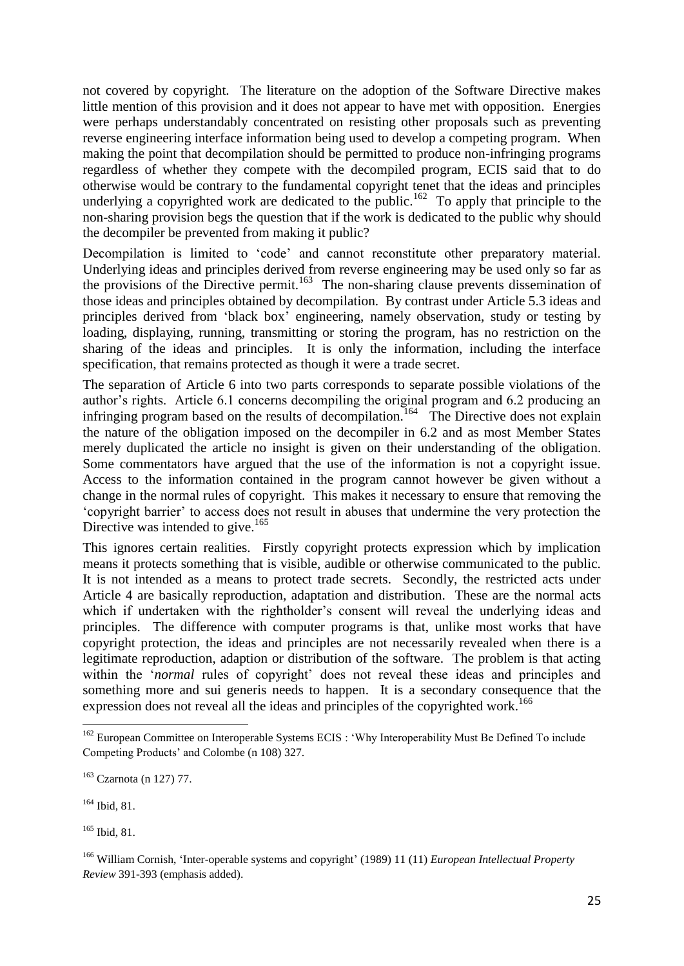not covered by copyright. The literature on the adoption of the Software Directive makes little mention of this provision and it does not appear to have met with opposition. Energies were perhaps understandably concentrated on resisting other proposals such as preventing reverse engineering interface information being used to develop a competing program. When making the point that decompilation should be permitted to produce non-infringing programs regardless of whether they compete with the decompiled program, ECIS said that to do otherwise would be contrary to the fundamental copyright tenet that the ideas and principles underlying a copyrighted work are dedicated to the public.<sup>162</sup> To apply that principle to the non-sharing provision begs the question that if the work is dedicated to the public why should the decompiler be prevented from making it public?

Decompilation is limited to 'code' and cannot reconstitute other preparatory material. Underlying ideas and principles derived from reverse engineering may be used only so far as the provisions of the Directive permit.<sup>163</sup> The non-sharing clause prevents dissemination of those ideas and principles obtained by decompilation. By contrast under Article 5.3 ideas and principles derived from 'black box' engineering, namely observation, study or testing by loading, displaying, running, transmitting or storing the program, has no restriction on the sharing of the ideas and principles. It is only the information, including the interface specification, that remains protected as though it were a trade secret.

The separation of Article 6 into two parts corresponds to separate possible violations of the author's rights. Article 6.1 concerns decompiling the original program and 6.2 producing an infringing program based on the results of decompilation.<sup>164</sup> The Directive does not explain the nature of the obligation imposed on the decompiler in 6.2 and as most Member States merely duplicated the article no insight is given on their understanding of the obligation. Some commentators have argued that the use of the information is not a copyright issue. Access to the information contained in the program cannot however be given without a change in the normal rules of copyright. This makes it necessary to ensure that removing the 'copyright barrier' to access does not result in abuses that undermine the very protection the Directive was intended to give.<sup>165</sup>

This ignores certain realities. Firstly copyright protects expression which by implication means it protects something that is visible, audible or otherwise communicated to the public. It is not intended as a means to protect trade secrets. Secondly, the restricted acts under Article 4 are basically reproduction, adaptation and distribution. These are the normal acts which if undertaken with the rightholder's consent will reveal the underlying ideas and principles. The difference with computer programs is that, unlike most works that have copyright protection, the ideas and principles are not necessarily revealed when there is a legitimate reproduction, adaption or distribution of the software. The problem is that acting within the '*normal* rules of copyright' does not reveal these ideas and principles and something more and sui generis needs to happen. It is a secondary consequence that the expression does not reveal all the ideas and principles of the copyrighted work.<sup>166</sup>

 $162$  European Committee on Interoperable Systems ECIS : 'Why Interoperability Must Be Defined To include Competing Products' and Colombe ([n 108\)](#page-16-0) 327.

<sup>163</sup> Czarnota ([n 127\)](#page-19-0) 77.

<sup>164</sup> Ibid, 81.

<sup>165</sup> Ibid, 81.

<sup>166</sup> William Cornish, 'Inter-operable systems and copyright' (1989) 11 (11) *European Intellectual Property Review* 391-393 (emphasis added).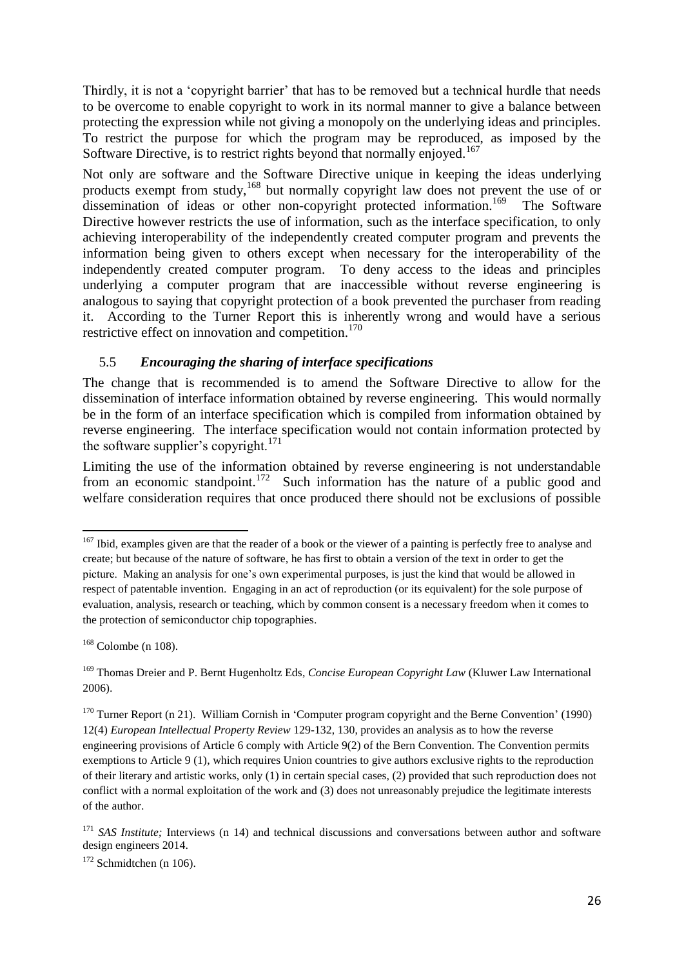Thirdly, it is not a 'copyright barrier' that has to be removed but a technical hurdle that needs to be overcome to enable copyright to work in its normal manner to give a balance between protecting the expression while not giving a monopoly on the underlying ideas and principles. To restrict the purpose for which the program may be reproduced, as imposed by the Software Directive, is to restrict rights beyond that normally enjoyed.<sup>167</sup>

Not only are software and the Software Directive unique in keeping the ideas underlying products exempt from study,<sup>168</sup> but normally copyright law does not prevent the use of or dissemination of ideas or other non-copyright protected information.<sup>169</sup> The Software Directive however restricts the use of information, such as the interface specification, to only achieving interoperability of the independently created computer program and prevents the information being given to others except when necessary for the interoperability of the independently created computer program. To deny access to the ideas and principles underlying a computer program that are inaccessible without reverse engineering is analogous to saying that copyright protection of a book prevented the purchaser from reading it. According to the Turner Report this is inherently wrong and would have a serious restrictive effect on innovation and competition.<sup>170</sup>

## <span id="page-25-0"></span>5.5 *Encouraging the sharing of interface specifications*

The change that is recommended is to amend the Software Directive to allow for the dissemination of interface information obtained by reverse engineering. This would normally be in the form of an interface specification which is compiled from information obtained by reverse engineering. The interface specification would not contain information protected by the software supplier's copyright. $171$ 

Limiting the use of the information obtained by reverse engineering is not understandable from an economic standpoint.<sup>172</sup> Such information has the nature of a public good and welfare consideration requires that once produced there should not be exclusions of possible

 $168$  Colombe (n [108\)](#page-16-0).

<sup>&</sup>lt;sup>167</sup> Ibid, examples given are that the reader of a book or the viewer of a painting is perfectly free to analyse and create; but because of the nature of software, he has first to obtain a version of the text in order to get the picture. Making an analysis for one's own experimental purposes, is just the kind that would be allowed in respect of patentable invention. Engaging in an act of reproduction (or its equivalent) for the sole purpose of evaluation, analysis, research or teaching, which by common consent is a necessary freedom when it comes to the protection of semiconductor chip topographies.

<sup>169</sup> Thomas Dreier and P. Bernt Hugenholtz Eds, *Concise European Copyright Law* (Kluwer Law International 2006).

<sup>&</sup>lt;sup>170</sup> Turner Report ([n 21\)](#page-4-0). William Cornish in 'Computer program copyright and the Berne Convention' (1990) 12(4) *European Intellectual Property Review* 129-132, 130, provides an analysis as to how the reverse engineering provisions of Article 6 comply with Article 9(2) of the Bern Convention. The Convention permits exemptions to Article 9 (1), which requires Union countries to give authors exclusive rights to the reproduction of their literary and artistic works, only (1) in certain special cases, (2) provided that such reproduction does not conflict with a normal exploitation of the work and (3) does not unreasonably prejudice the legitimate interests of the author.

<sup>&</sup>lt;sup>171</sup> *SAS Institute*; Interviews (n [14\)](#page-2-1) and technical discussions and conversations between author and software design engineers 2014.

 $172$  Schmidtchen (n [106\)](#page-16-1).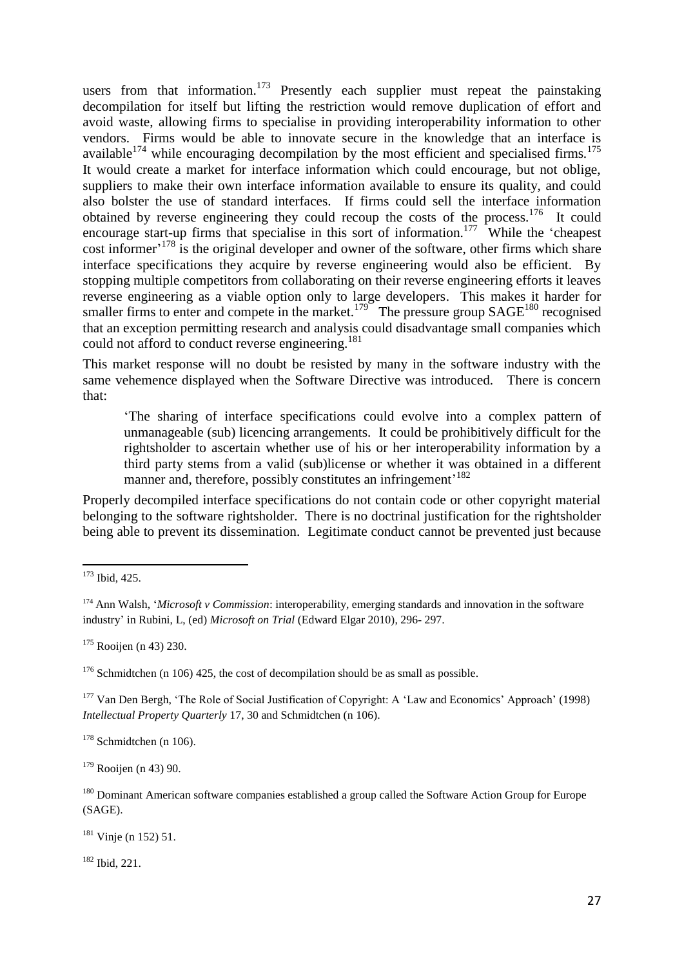users from that information.<sup>173</sup> Presently each supplier must repeat the painstaking decompilation for itself but lifting the restriction would remove duplication of effort and avoid waste, allowing firms to specialise in providing interoperability information to other vendors. Firms would be able to innovate secure in the knowledge that an interface is available<sup>174</sup> while encouraging decompilation by the most efficient and specialised firms.<sup>175</sup> It would create a market for interface information which could encourage, but not oblige, suppliers to make their own interface information available to ensure its quality, and could also bolster the use of standard interfaces. If firms could sell the interface information obtained by reverse engineering they could recoup the costs of the process.<sup>176</sup> It could encourage start-up firms that specialise in this sort of information.<sup>177</sup> While the 'cheapest cost informer<sup>, 178</sup> is the original developer and owner of the software, other firms which share interface specifications they acquire by reverse engineering would also be efficient. By stopping multiple competitors from collaborating on their reverse engineering efforts it leaves reverse engineering as a viable option only to large developers. This makes it harder for smaller firms to enter and compete in the market.<sup>179</sup> The pressure group  $SAGE^{180}$  recognised that an exception permitting research and analysis could disadvantage small companies which could not afford to conduct reverse engineering. 181

This market response will no doubt be resisted by many in the software industry with the same vehemence displayed when the Software Directive was introduced. There is concern that:

'The sharing of interface specifications could evolve into a complex pattern of unmanageable (sub) licencing arrangements. It could be prohibitively difficult for the rightsholder to ascertain whether use of his or her interoperability information by a third party stems from a valid (sub)license or whether it was obtained in a different manner and, therefore, possibly constitutes an infringement<sup>, 182</sup>

Properly decompiled interface specifications do not contain code or other copyright material belonging to the software rightsholder. There is no doctrinal justification for the rightsholder being able to prevent its dissemination. Legitimate conduct cannot be prevented just because

<sup>175</sup> Rooijen (n [43\)](#page-7-0) 230.

 $176$  Schmidtchen (n [106\)](#page-16-1) 425, the cost of decompilation should be as small as possible.

<sup>177</sup> Van Den Bergh, 'The Role of Social Justification of Copyright: A 'Law and Economics' Approach' (1998) *Intellectual Property Quarterly* 17, 30 and Schmidtchen (n [106\)](#page-16-1).

<sup>178</sup> Schmidtchen (n [106\)](#page-16-1).

 $179$  Rooijen (n [43\)](#page-7-0) 90.

<sup>180</sup> Dominant American software companies established a group called the Software Action Group for Europe (SAGE).

<sup>181</sup> Vinje (n [152\)](#page-22-0) 51.

<sup>182</sup> Ibid, 221.

<sup>-</sup><sup>173</sup> Ibid, 425.

<sup>174</sup> Ann Walsh, '*Microsoft v Commission*: interoperability, emerging standards and innovation in the software industry' in Rubini, L, (ed) *Microsoft on Trial* (Edward Elgar 2010), 296- 297.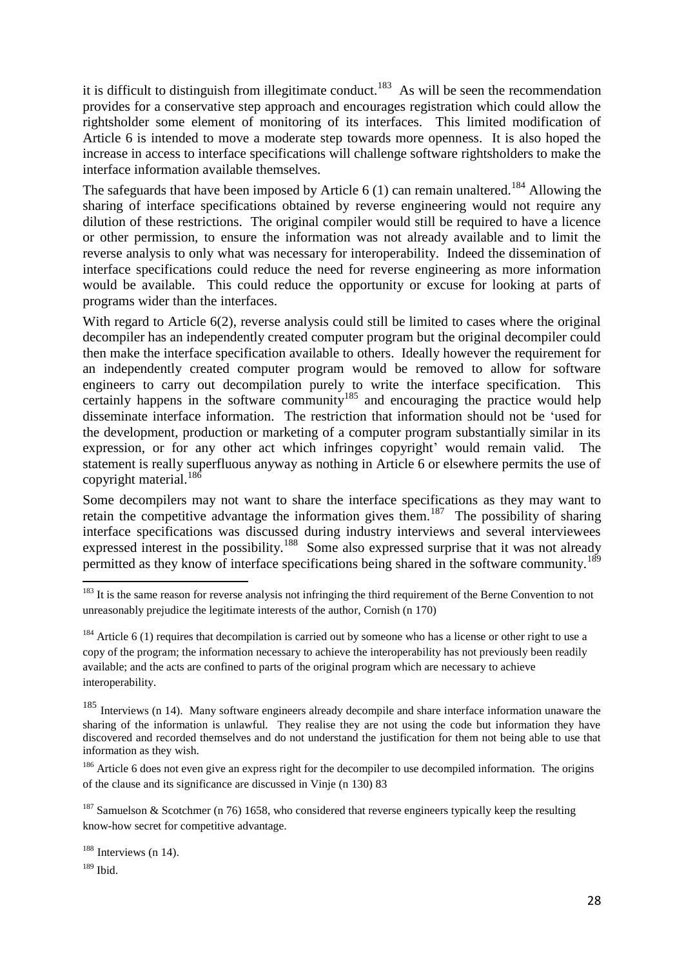it is difficult to distinguish from illegitimate conduct.<sup>183</sup> As will be seen the recommendation provides for a conservative step approach and encourages registration which could allow the rightsholder some element of monitoring of its interfaces. This limited modification of Article 6 is intended to move a moderate step towards more openness. It is also hoped the increase in access to interface specifications will challenge software rightsholders to make the interface information available themselves.

The safeguards that have been imposed by Article  $6(1)$  can remain unaltered.<sup>184</sup> Allowing the sharing of interface specifications obtained by reverse engineering would not require any dilution of these restrictions. The original compiler would still be required to have a licence or other permission, to ensure the information was not already available and to limit the reverse analysis to only what was necessary for interoperability. Indeed the dissemination of interface specifications could reduce the need for reverse engineering as more information would be available. This could reduce the opportunity or excuse for looking at parts of programs wider than the interfaces.

With regard to Article 6(2), reverse analysis could still be limited to cases where the original decompiler has an independently created computer program but the original decompiler could then make the interface specification available to others. Ideally however the requirement for an independently created computer program would be removed to allow for software engineers to carry out decompilation purely to write the interface specification. This certainly happens in the software community<sup>185</sup> and encouraging the practice would help disseminate interface information. The restriction that information should not be 'used for the development, production or marketing of a computer program substantially similar in its expression, or for any other act which infringes copyright' would remain valid. The statement is really superfluous anyway as nothing in Article 6 or elsewhere permits the use of copyright material.<sup>186</sup>

Some decompilers may not want to share the interface specifications as they may want to retain the competitive advantage the information gives them.<sup>187</sup> The possibility of sharing interface specifications was discussed during industry interviews and several interviewees expressed interest in the possibility.<sup>188</sup> Some also expressed surprise that it was not already permitted as they know of interface specifications being shared in the software community.<sup>189</sup>

<sup>186</sup> Article 6 does not even give an express right for the decompiler to use decompiled information. The origins of the clause and its significance are discussed in Vinje (n [130\)](#page-20-0) 83

<sup>187</sup> Samuelson & Scotchmer (n [76\)](#page-12-0) 1658, who considered that reverse engineers typically keep the resulting know-how secret for competitive advantage.

<sup>&</sup>lt;sup>183</sup> It is the same reason for reverse analysis not infringing the third requirement of the Berne Convention to not unreasonably prejudice the legitimate interests of the author, Cornish ([n 170\)](#page-25-0)

 $184$  Article 6 (1) requires that decompilation is carried out by someone who has a license or other right to use a copy of the program; the information necessary to achieve the interoperability has not previously been readily available; and the acts are confined to parts of the original program which are necessary to achieve interoperability.

<sup>185</sup> Interviews (n [14\)](#page-2-1). Many software engineers already decompile and share interface information unaware the sharing of the information is unlawful. They realise they are not using the code but information they have discovered and recorded themselves and do not understand the justification for them not being able to use that information as they wish.

<sup>&</sup>lt;sup>188</sup> Interviews (n [14\)](#page-2-1).

 $189$  Ibid.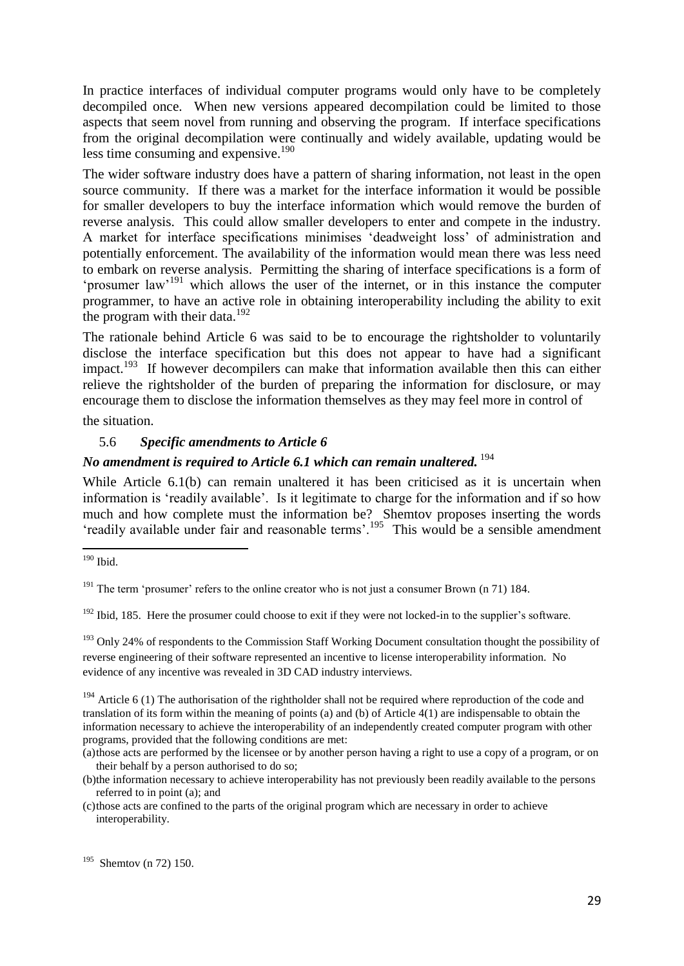In practice interfaces of individual computer programs would only have to be completely decompiled once. When new versions appeared decompilation could be limited to those aspects that seem novel from running and observing the program. If interface specifications from the original decompilation were continually and widely available, updating would be less time consuming and expensive.<sup>190</sup>

The wider software industry does have a pattern of sharing information, not least in the open source community. If there was a market for the interface information it would be possible for smaller developers to buy the interface information which would remove the burden of reverse analysis. This could allow smaller developers to enter and compete in the industry. A market for interface specifications minimises 'deadweight loss' of administration and potentially enforcement. The availability of the information would mean there was less need to embark on reverse analysis. Permitting the sharing of interface specifications is a form of 'prosumer law'<sup>191</sup> which allows the user of the internet, or in this instance the computer programmer, to have an active role in obtaining interoperability including the ability to exit the program with their data. $192$ 

The rationale behind Article 6 was said to be to encourage the rightsholder to voluntarily disclose the interface specification but this does not appear to have had a significant impact.<sup>193</sup> If however decompilers can make that information available then this can either relieve the rightsholder of the burden of preparing the information for disclosure, or may encourage them to disclose the information themselves as they may feel more in control of

the situation.

## 5.6 *Specific amendments to Article 6*

# *No amendment is required to Article 6.1 which can remain unaltered.* <sup>194</sup>

While Article 6.1(b) can remain unaltered it has been criticised as it is uncertain when information is 'readily available'. Is it legitimate to charge for the information and if so how much and how complete must the information be? Shemtov proposes inserting the words 'readily available under fair and reasonable terms'.<sup>195</sup> This would be a sensible amendment

 $192$  Ibid, 185. Here the prosumer could choose to exit if they were not locked-in to the supplier's software.

<sup>193</sup> Only 24% of respondents to the Commission Staff Working Document consultation thought the possibility of reverse engineering of their software represented an incentive to license interoperability information. No evidence of any incentive was revealed in 3D CAD industry interviews.

<sup>-</sup> $190$  Ibid.

 $191$  The term 'prosumer' refers to the online creator who is not just a consumer Brown (n [71\)](#page-11-1) 184.

 $194$  Article 6 (1) The authorisation of the rightholder shall not be required where reproduction of the code and translation of its form within the meaning of points (a) and (b) of Article 4(1) are indispensable to obtain the information necessary to achieve the interoperability of an independently created computer program with other programs, provided that the following conditions are met:

<sup>(</sup>a)those acts are performed by the licensee or by another person having a right to use a copy of a program, or on their behalf by a person authorised to do so;

<sup>(</sup>b)the information necessary to achieve interoperability has not previously been readily available to the persons referred to in point (a); and

<sup>(</sup>c)those acts are confined to the parts of the original program which are necessary in order to achieve interoperability.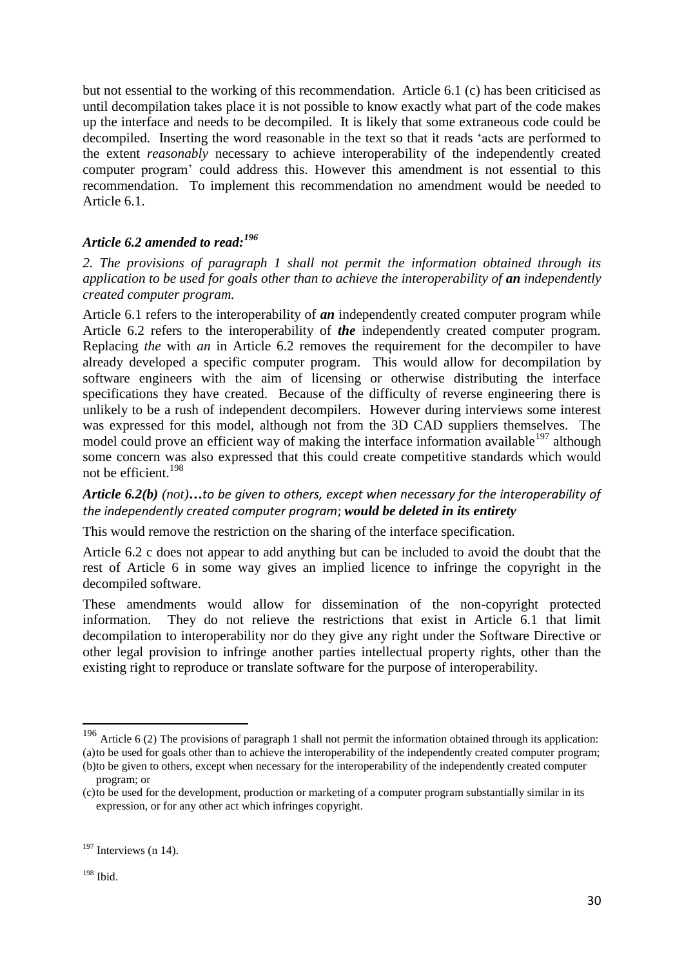but not essential to the working of this recommendation. Article 6.1 (c) has been criticised as until decompilation takes place it is not possible to know exactly what part of the code makes up the interface and needs to be decompiled. It is likely that some extraneous code could be decompiled. Inserting the word reasonable in the text so that it reads 'acts are performed to the extent *reasonably* necessary to achieve interoperability of the independently created computer program' could address this. However this amendment is not essential to this recommendation. To implement this recommendation no amendment would be needed to Article 6.1.

## *Article 6.2 amended to read:<sup>196</sup>*

*2. The provisions of paragraph 1 shall not permit the information obtained through its application to be used for goals other than to achieve the interoperability of an independently created computer program.*

Article 6.1 refers to the interoperability of *an* independently created computer program while Article 6.2 refers to the interoperability of *the* independently created computer program. Replacing *the* with *an* in Article 6.2 removes the requirement for the decompiler to have already developed a specific computer program. This would allow for decompilation by software engineers with the aim of licensing or otherwise distributing the interface specifications they have created. Because of the difficulty of reverse engineering there is unlikely to be a rush of independent decompilers. However during interviews some interest was expressed for this model, although not from the 3D CAD suppliers themselves. The model could prove an efficient way of making the interface information available<sup>197</sup> although some concern was also expressed that this could create competitive standards which would not be efficient.<sup>198</sup>

## *Article 6.2(b) (not)…to be given to others, except when necessary for the interoperability of the independently created computer program*; *would be deleted in its entirety*

This would remove the restriction on the sharing of the interface specification.

Article 6.2 c does not appear to add anything but can be included to avoid the doubt that the rest of Article 6 in some way gives an implied licence to infringe the copyright in the decompiled software.

These amendments would allow for dissemination of the non-copyright protected information. They do not relieve the restrictions that exist in Article 6.1 that limit decompilation to interoperability nor do they give any right under the Software Directive or other legal provision to infringe another parties intellectual property rights, other than the existing right to reproduce or translate software for the purpose of interoperability.

1

<sup>&</sup>lt;sup>196</sup> Article 6 (2) The provisions of paragraph 1 shall not permit the information obtained through its application: (a)to be used for goals other than to achieve the interoperability of the independently created computer program;

<sup>(</sup>b)to be given to others, except when necessary for the interoperability of the independently created computer program; or

<sup>(</sup>c)to be used for the development, production or marketing of a computer program substantially similar in its expression, or for any other act which infringes copyright.

 $197$  Interviews (n [14\)](#page-2-1).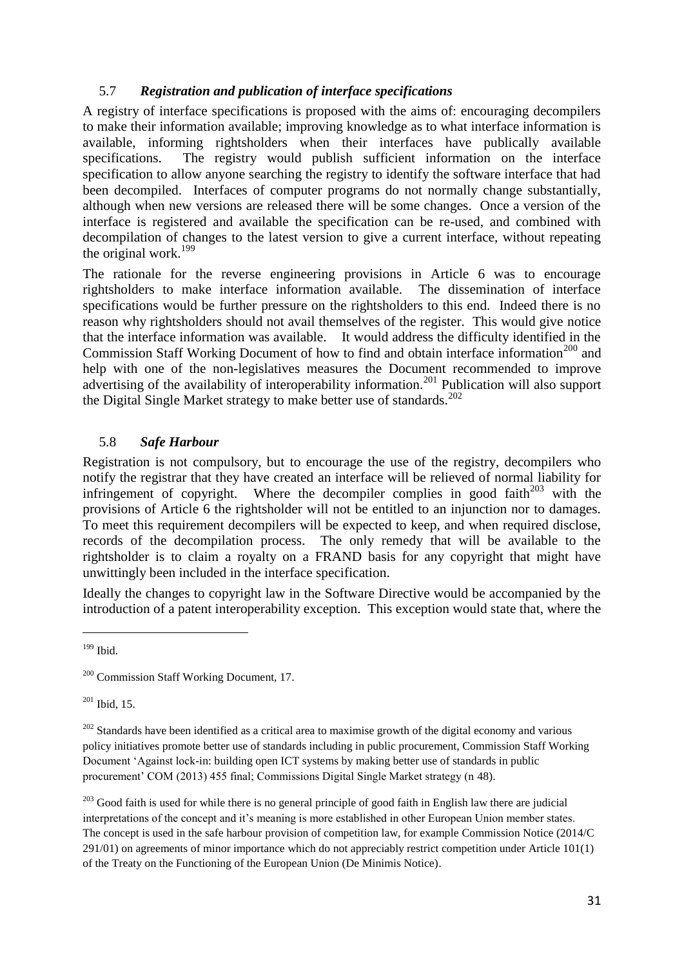# 5.7 *Registration and publication of interface specifications*

A registry of interface specifications is proposed with the aims of: encouraging decompilers to make their information available; improving knowledge as to what interface information is available, informing rightsholders when their interfaces have publically available specifications. The registry would publish sufficient information on the interface specification to allow anyone searching the registry to identify the software interface that had been decompiled. Interfaces of computer programs do not normally change substantially, although when new versions are released there will be some changes. Once a version of the interface is registered and available the specification can be re-used, and combined with decompilation of changes to the latest version to give a current interface, without repeating the original work.<sup>199</sup>

The rationale for the reverse engineering provisions in Article 6 was to encourage rightsholders to make interface information available. The dissemination of interface specifications would be further pressure on the rightsholders to this end. Indeed there is no reason why rightsholders should not avail themselves of the register. This would give notice that the interface information was available. It would address the difficulty identified in the Commission Staff Working Document of how to find and obtain interface information<sup>200</sup> and help with one of the non-legislatives measures the Document recommended to improve advertising of the availability of interoperability information.<sup>201</sup> Publication will also support the Digital Single Market strategy to make better use of standards.<sup>202</sup>

# 5.8 *Safe Harbour*

Registration is not compulsory, but to encourage the use of the registry, decompilers who notify the registrar that they have created an interface will be relieved of normal liability for infringement of copyright. Where the decompiler complies in good faith $^{203}$  with the provisions of Article 6 the rightsholder will not be entitled to an injunction nor to damages. To meet this requirement decompilers will be expected to keep, and when required disclose, records of the decompilation process. The only remedy that will be available to the rightsholder is to claim a royalty on a FRAND basis for any copyright that might have unwittingly been included in the interface specification.

Ideally the changes to copyright law in the Software Directive would be accompanied by the introduction of a patent interoperability exception. This exception would state that, where the

1

 $201$  Ibid, 15.

 $202$  Standards have been identified as a critical area to maximise growth of the digital economy and various policy initiatives promote better use of standards including in public procurement, Commission Staff Working Document 'Against lock-in: building open ICT systems by making better use of standards in public procurement' COM (2013) 455 final; Commissions Digital Single Market strategy (n [48\)](#page-7-1).

<sup>203</sup> Good faith is used for while there is no general principle of good faith in English law there are judicial interpretations of the concept and it's meaning is more established in other European Union member states. The concept is used in the safe harbour provision of competition law, for example Commission Notice (2014/C 291/01) on agreements of minor importance which do not appreciably restrict competition under Article 101(1) of the Treaty on the Functioning of the European Union (De Minimis Notice).

 $199$  Ibid.

<sup>&</sup>lt;sup>200</sup> Commission Staff Working Document, 17.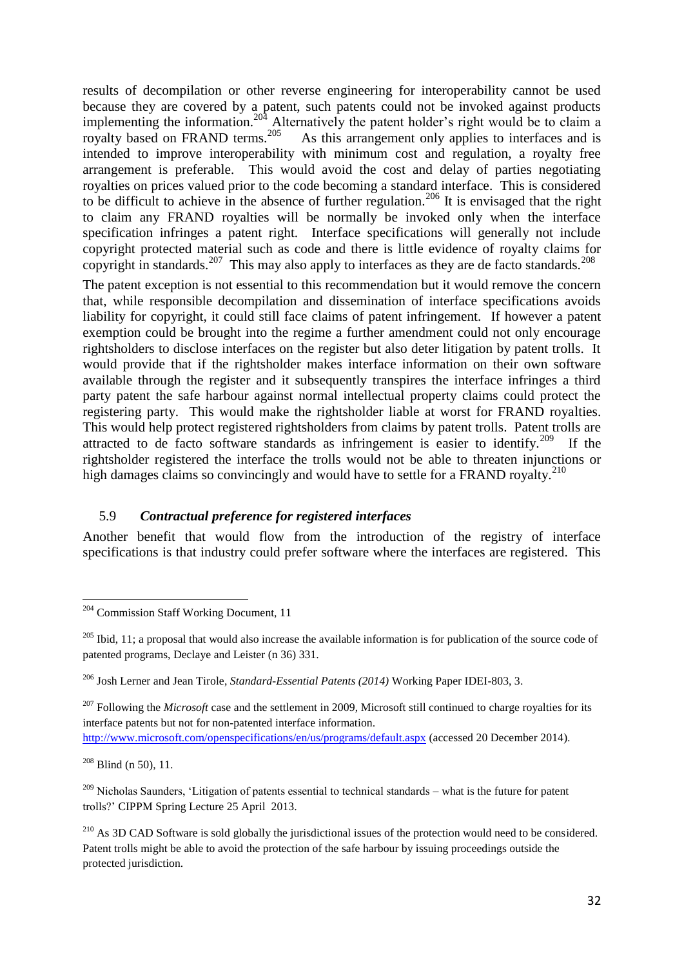results of decompilation or other reverse engineering for interoperability cannot be used because they are covered by a patent, such patents could not be invoked against products implementing the information.<sup>204</sup> Alternatively the patent holder's right would be to claim a royalty based on FRAND terms.<sup>205</sup> As this arrangement only applies to interfaces and is intended to improve interoperability with minimum cost and regulation, a royalty free arrangement is preferable. This would avoid the cost and delay of parties negotiating royalties on prices valued prior to the code becoming a standard interface. This is considered to be difficult to achieve in the absence of further regulation.<sup>206</sup> It is envisaged that the right to claim any FRAND royalties will be normally be invoked only when the interface specification infringes a patent right. Interface specifications will generally not include copyright protected material such as code and there is little evidence of royalty claims for copyright in standards.<sup>207</sup> This may also apply to interfaces as they are de facto standards.<sup>208</sup>

The patent exception is not essential to this recommendation but it would remove the concern that, while responsible decompilation and dissemination of interface specifications avoids liability for copyright, it could still face claims of patent infringement. If however a patent exemption could be brought into the regime a further amendment could not only encourage rightsholders to disclose interfaces on the register but also deter litigation by patent trolls. It would provide that if the rightsholder makes interface information on their own software available through the register and it subsequently transpires the interface infringes a third party patent the safe harbour against normal intellectual property claims could protect the registering party. This would make the rightsholder liable at worst for FRAND royalties. This would help protect registered rightsholders from claims by patent trolls. Patent trolls are attracted to de facto software standards as infringement is easier to identify.<sup>209</sup> If the rightsholder registered the interface the trolls would not be able to threaten injunctions or high damages claims so convincingly and would have to settle for a FRAND royalty.<sup>210</sup>

#### 5.9 *Contractual preference for registered interfaces*

Another benefit that would flow from the introduction of the registry of interface specifications is that industry could prefer software where the interfaces are registered. This

 $208$  Blind (n [50\)](#page-7-2), 11.

<sup>209</sup> Nicholas Saunders, 'Litigation of patents essential to technical standards – what is the future for patent trolls?' CIPPM Spring Lecture 25 April 2013.

<sup>210</sup> As 3D CAD Software is sold globally the jurisdictional issues of the protection would need to be considered. Patent trolls might be able to avoid the protection of the safe harbour by issuing proceedings outside the protected jurisdiction.

<sup>-</sup><sup>204</sup> Commission Staff Working Document, 11

 $^{205}$  Ibid, 11; a proposal that would also increase the available information is for publication of the source code of patented programs, Declaye and Leister (n [36\)](#page-5-1) 331.

<sup>206</sup> Josh Lerner and Jean Tirole, *Standard-Essential Patents (2014)* Working Paper IDEI-803, 3.

<sup>&</sup>lt;sup>207</sup> Following the *Microsoft* case and the settlement in 2009, Microsoft still continued to charge royalties for its interface patents but not for non-patented interface information. <http://www.microsoft.com/openspecifications/en/us/programs/default.aspx> (accessed 20 December 2014).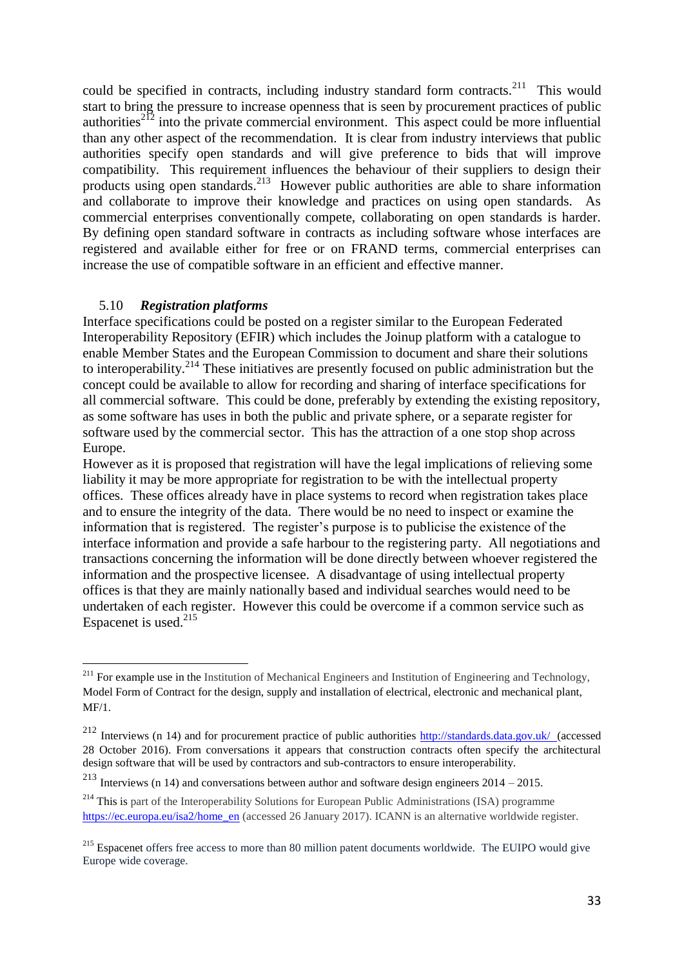could be specified in contracts, including industry standard form contracts.<sup>211</sup> This would start to bring the pressure to increase openness that is seen by procurement practices of public authorities<sup> $212$ </sup> into the private commercial environment. This aspect could be more influential than any other aspect of the recommendation. It is clear from industry interviews that public authorities specify open standards and will give preference to bids that will improve compatibility. This requirement influences the behaviour of their suppliers to design their products using open standards.<sup>213</sup> However public authorities are able to share information and collaborate to improve their knowledge and practices on using open standards. As commercial enterprises conventionally compete, collaborating on open standards is harder. By defining open standard software in contracts as including software whose interfaces are registered and available either for free or on FRAND terms, commercial enterprises can increase the use of compatible software in an efficient and effective manner.

#### 5.10 *Registration platforms*

-

Interface specifications could be posted on a register similar to the European Federated Interoperability Repository (EFIR) which includes the Joinup platform with a catalogue to enable Member States and the European Commission to document and share their solutions to interoperability.<sup>214</sup> These initiatives are presently focused on public administration but the concept could be available to allow for recording and sharing of interface specifications for all commercial software. This could be done, preferably by extending the existing repository, as some software has uses in both the public and private sphere, or a separate register for software used by the commercial sector. This has the attraction of a one stop shop across Europe.

However as it is proposed that registration will have the legal implications of relieving some liability it may be more appropriate for registration to be with the intellectual property offices. These offices already have in place systems to record when registration takes place and to ensure the integrity of the data. There would be no need to inspect or examine the information that is registered. The register's purpose is to publicise the existence of the interface information and provide a safe harbour to the registering party. All negotiations and transactions concerning the information will be done directly between whoever registered the information and the prospective licensee. A disadvantage of using intellectual property offices is that they are mainly nationally based and individual searches would need to be undertaken of each register. However this could be overcome if a common service such as Espacenet is used. $215$ 

<sup>&</sup>lt;sup>211</sup> For example use in the Institution of Mechanical Engineers and Institution of Engineering and Technology, Model Form of Contract for the design, supply and installation of electrical, electronic and mechanical plant, MF/1.

<sup>212</sup> Interviews (n [14\)](#page-2-1) and for procurement practice of public authorities<http://standards.data.gov.uk/>(accessed 28 October 2016). From conversations it appears that construction contracts often specify the architectural design software that will be used by contractors and sub-contractors to ensure interoperability.

<sup>213</sup> Interviews ([n 14\)](#page-2-1) and conversations between author and software design engineers 2014 – 2015.

<sup>&</sup>lt;sup>214</sup> This is part of the Interoperability Solutions for European Public Administrations (ISA) programme [https://ec.europa.eu/isa2/home\\_en](https://ec.europa.eu/isa2/home_en) (accessed 26 January 2017). ICANN is an alternative worldwide register.

<sup>&</sup>lt;sup>215</sup> Espacenet offers free access to more than 80 million patent documents worldwide. The EUIPO would give Europe wide coverage.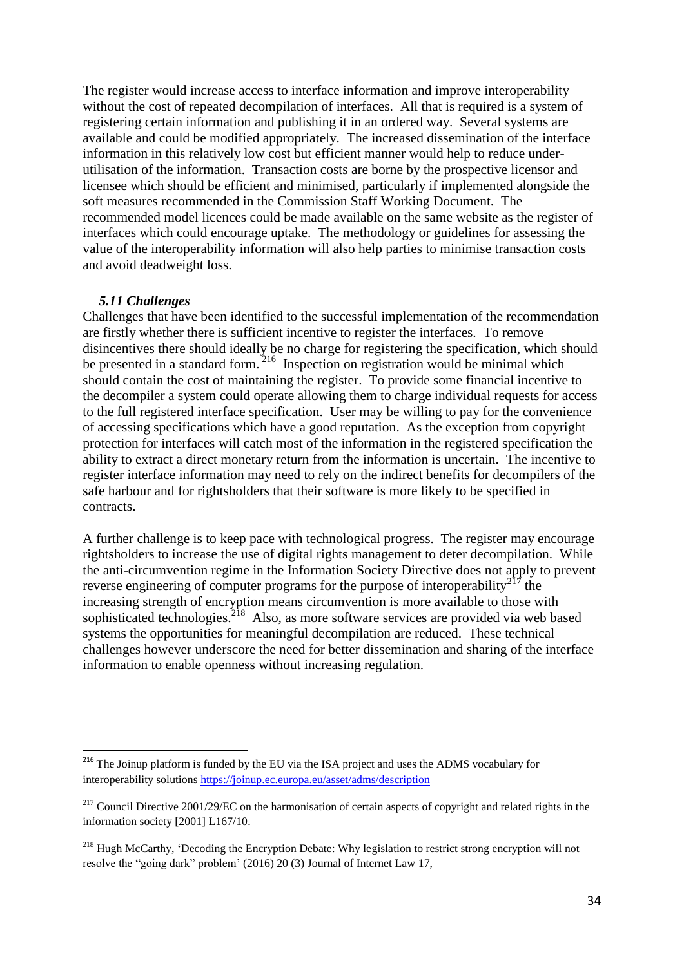The register would increase access to interface information and improve interoperability without the cost of repeated decompilation of interfaces. All that is required is a system of registering certain information and publishing it in an ordered way. Several systems are available and could be modified appropriately. The increased dissemination of the interface information in this relatively low cost but efficient manner would help to reduce underutilisation of the information. Transaction costs are borne by the prospective licensor and licensee which should be efficient and minimised, particularly if implemented alongside the soft measures recommended in the Commission Staff Working Document. The recommended model licences could be made available on the same website as the register of interfaces which could encourage uptake. The methodology or guidelines for assessing the value of the interoperability information will also help parties to minimise transaction costs and avoid deadweight loss.

#### *5.11 Challenges*

-

Challenges that have been identified to the successful implementation of the recommendation are firstly whether there is sufficient incentive to register the interfaces. To remove disincentives there should ideally be no charge for registering the specification, which should be presented in a standard form.<sup>216</sup> Inspection on registration would be minimal which should contain the cost of maintaining the register. To provide some financial incentive to the decompiler a system could operate allowing them to charge individual requests for access to the full registered interface specification. User may be willing to pay for the convenience of accessing specifications which have a good reputation. As the exception from copyright protection for interfaces will catch most of the information in the registered specification the ability to extract a direct monetary return from the information is uncertain. The incentive to register interface information may need to rely on the indirect benefits for decompilers of the safe harbour and for rightsholders that their software is more likely to be specified in contracts.

A further challenge is to keep pace with technological progress. The register may encourage rightsholders to increase the use of digital rights management to deter decompilation. While the anti-circumvention regime in the Information Society Directive does not apply to prevent reverse engineering of computer programs for the purpose of interoperability<sup>217</sup> the increasing strength of encryption means circumvention is more available to those with sophisticated technologies.<sup>218</sup> Also, as more software services are provided via web based systems the opportunities for meaningful decompilation are reduced. These technical challenges however underscore the need for better dissemination and sharing of the interface information to enable openness without increasing regulation.

<sup>&</sup>lt;sup>216</sup> The Joinup platform is funded by the EU via the ISA project and uses the ADMS vocabulary for interoperability solutions<https://joinup.ec.europa.eu/asset/adms/description>

<sup>&</sup>lt;sup>217</sup> Council Directive 2001/29/EC on the harmonisation of certain aspects of copyright and related rights in the information society [2001] L167/10.

<sup>&</sup>lt;sup>218</sup> Hugh McCarthy, 'Decoding the Encryption Debate: Why legislation to restrict strong encryption will not resolve the "going dark" problem' (2016) 20 (3) Journal of Internet Law 17,